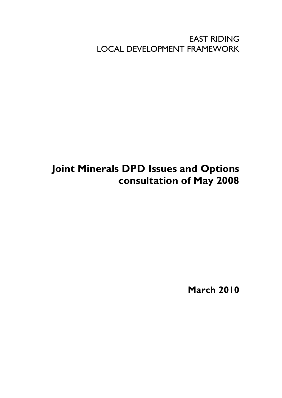EAST RIDING LOCAL DEVELOPMENT FRAMEWORK

## **Joint Minerals DPD Issues and Options consultation of May 2008**

**March 2010**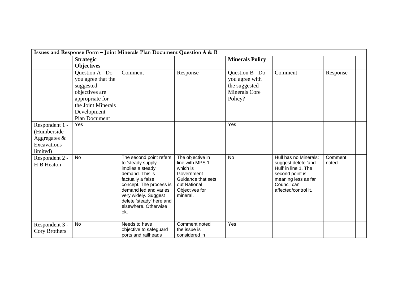|                                                                          |                                                                                                                                                      | Issues and Response Form - Joint Minerals Plan Document Question A & B                                                                                                                                                                           |                                                                                                                                   |                                                                                       |                                                                                                                                                       |                  |  |
|--------------------------------------------------------------------------|------------------------------------------------------------------------------------------------------------------------------------------------------|--------------------------------------------------------------------------------------------------------------------------------------------------------------------------------------------------------------------------------------------------|-----------------------------------------------------------------------------------------------------------------------------------|---------------------------------------------------------------------------------------|-------------------------------------------------------------------------------------------------------------------------------------------------------|------------------|--|
|                                                                          | <b>Strategic</b><br><b>Objectives</b>                                                                                                                |                                                                                                                                                                                                                                                  |                                                                                                                                   | <b>Minerals Policy</b>                                                                |                                                                                                                                                       |                  |  |
|                                                                          | Question A - Do<br>you agree that the<br>suggested<br>objectives are<br>appropriate for<br>the Joint Minerals<br>Development<br><b>Plan Document</b> | Comment                                                                                                                                                                                                                                          | Response                                                                                                                          | Question B - Do<br>you agree with<br>the suggested<br><b>Minerals Core</b><br>Policy? | Comment                                                                                                                                               | Response         |  |
| Respondent 1 -<br>(Humberside<br>Aggregates &<br>Excavations<br>limited) | Yes                                                                                                                                                  |                                                                                                                                                                                                                                                  |                                                                                                                                   | Yes                                                                                   |                                                                                                                                                       |                  |  |
| Respondent 2 -<br>H B Heaton                                             | No                                                                                                                                                   | The second point refers<br>to 'steady supply'<br>implies a steady<br>demand. This is<br>factually a false<br>concept. The process is<br>demand led and varies<br>very widely. Suggest<br>delete 'steady' here and<br>elsewhere. Otherwise<br>ok. | The objective in<br>line with MPS 1<br>which is<br>Government<br>Guidance that sets<br>out National<br>Objectives for<br>mineral. | <b>No</b>                                                                             | Hull has no Minerals:<br>suggest delete 'and<br>Hull' in line 1. The<br>second point is<br>meaning less as far<br>Council can<br>affected/control it. | Comment<br>noted |  |
| Respondent 3 -<br>Cory Brothers                                          | <b>No</b>                                                                                                                                            | Needs to have<br>objective to safeguard<br>ports and railheads                                                                                                                                                                                   | Comment noted<br>the issue is<br>considered in                                                                                    | Yes                                                                                   |                                                                                                                                                       |                  |  |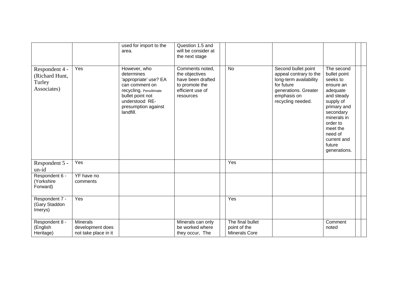|                                                           |                                                             | used for import to the<br>area.                                                                                                                                           | Question 1.5 and<br>will be consider at<br>the next stage                                                 |                                                          |                                                                                                                                                   |                                                                                                                                                                                                                   |  |
|-----------------------------------------------------------|-------------------------------------------------------------|---------------------------------------------------------------------------------------------------------------------------------------------------------------------------|-----------------------------------------------------------------------------------------------------------|----------------------------------------------------------|---------------------------------------------------------------------------------------------------------------------------------------------------|-------------------------------------------------------------------------------------------------------------------------------------------------------------------------------------------------------------------|--|
| Respondent 4 -<br>(Richard Hunt,<br>Turley<br>Associates) | Yes                                                         | However, who<br>determines<br>'appropriate' use? EA<br>can comment on<br>recycling. Penultimate<br>bullet point not<br>understood RE-<br>presumption against<br>landfill. | Comments noted,<br>the objectives<br>have been drafted<br>to promote the<br>efficient use of<br>resources | <b>No</b>                                                | Second bullet point<br>appeal contrary to the<br>long-term availability<br>for future<br>generations. Greater<br>emphasis on<br>recycling needed. | The second<br>bullet point<br>seeks to<br>ensure an<br>adequate<br>and steady<br>supply of<br>primary and<br>secondary<br>minerals in<br>order to<br>meet the<br>need of<br>current and<br>future<br>generations. |  |
| Respondent 5 -<br>un-id                                   | Yes                                                         |                                                                                                                                                                           |                                                                                                           | Yes                                                      |                                                                                                                                                   |                                                                                                                                                                                                                   |  |
| Respondent 6 -<br>(Yorkshire<br>Forward)                  | YF have no<br>comments                                      |                                                                                                                                                                           |                                                                                                           |                                                          |                                                                                                                                                   |                                                                                                                                                                                                                   |  |
| Respondent 7 -<br>(Gary Staddon<br>Imerys)                | Yes                                                         |                                                                                                                                                                           |                                                                                                           | Yes                                                      |                                                                                                                                                   |                                                                                                                                                                                                                   |  |
| Respondent 8 -<br>(English<br>Heritage)                   | <b>Minerals</b><br>development does<br>not take place in it |                                                                                                                                                                           | Minerals can only<br>be worked where<br>they occur, The                                                   | The final bullet<br>point of the<br><b>Minerals Core</b> |                                                                                                                                                   | Comment<br>noted                                                                                                                                                                                                  |  |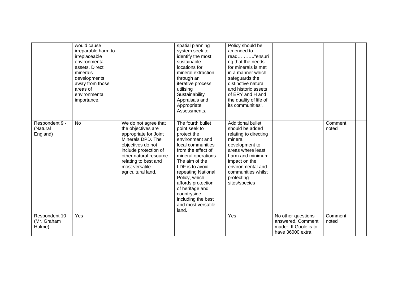|                                          | would cause<br>irreparable harm to<br>irreplaceable<br>environmental<br>assets. Direct<br>minerals<br>developments<br>away from those<br>areas of<br>environmental<br>importance. |                                                                                                                                                                                                                                  | spatial planning<br>system seek to<br>identify the most<br>sustainable<br>locations for<br>mineral extraction<br>through an<br>iterative process<br>utilising<br>Sustainability<br>Appraisals and<br>Appropriate<br>Assessments.                                                                                                | Policy should be<br>amended to<br>read"ensuri<br>ng that the needs<br>for minerals is met<br>in a manner which<br>safeguards the<br>distinctive natural<br>and historic assets<br>of ERY and H and<br>the quality of life of<br>its communities". |                                                                                      |                  |  |
|------------------------------------------|-----------------------------------------------------------------------------------------------------------------------------------------------------------------------------------|----------------------------------------------------------------------------------------------------------------------------------------------------------------------------------------------------------------------------------|---------------------------------------------------------------------------------------------------------------------------------------------------------------------------------------------------------------------------------------------------------------------------------------------------------------------------------|---------------------------------------------------------------------------------------------------------------------------------------------------------------------------------------------------------------------------------------------------|--------------------------------------------------------------------------------------|------------------|--|
| Respondent 9 -<br>(Natural<br>England)   | <b>No</b>                                                                                                                                                                         | We do not agree that<br>the objectives are<br>appropriate for Joint<br>Minerals DPD. The<br>objectives do not<br>include protection of<br>other natural resource<br>relating to best and<br>most versatile<br>agricultural land. | The fourth bullet<br>point seek to<br>protect the<br>environment and<br>local communities<br>from the effect of<br>mineral operations.<br>The aim of the<br>LDF is to avoid<br>repeating National<br>Policy, which<br>affords protection<br>of heritage and<br>countryside<br>including the best<br>and most versatile<br>land. | <b>Additional bullet</b><br>should be added<br>relating to directing<br>mineral<br>development to<br>areas where least<br>harm and minimum<br>impact on the<br>environmental and<br>communities whilst<br>protecting<br>sites/species             |                                                                                      | Comment<br>noted |  |
| Respondent 10 -<br>(Mr. Graham<br>Hulme) | Yes                                                                                                                                                                               |                                                                                                                                                                                                                                  |                                                                                                                                                                                                                                                                                                                                 | Yes                                                                                                                                                                                                                                               | No other questions<br>answered, Comment<br>made:- If Goole is to<br>have 36000 extra | Comment<br>noted |  |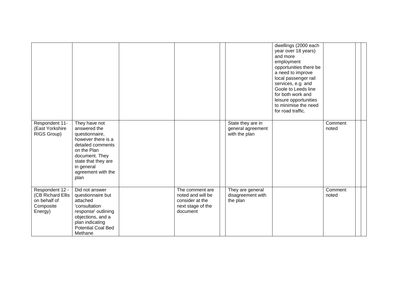|                                                                              |                                                                                                                                                                                                |                                                                                          |                                                         | dwellings (2000 each<br>year over 18 years)<br>and more<br>employment<br>opportunities there be<br>a need to improve<br>local passenger rail<br>services, e.g. and<br>Goole to Leeds line<br>for both work and<br>leisure opportunities<br>to minimise the need<br>for road traffic. |                  |  |
|------------------------------------------------------------------------------|------------------------------------------------------------------------------------------------------------------------------------------------------------------------------------------------|------------------------------------------------------------------------------------------|---------------------------------------------------------|--------------------------------------------------------------------------------------------------------------------------------------------------------------------------------------------------------------------------------------------------------------------------------------|------------------|--|
| Respondent 11-<br>(East Yorkshire<br>RIGS Group)                             | They have not<br>answered the<br>questionnaire,<br>however there is a<br>detailed comments<br>on the Plan<br>document. They<br>state that they are<br>in general<br>agreement with the<br>plan |                                                                                          | State they are in<br>general agreement<br>with the plan |                                                                                                                                                                                                                                                                                      | Comment<br>noted |  |
| Respondent 12 -<br>(CB Richard Ellis<br>on behalf of<br>Composite<br>Energy) | Did not answer<br>questionnaire but<br>attached<br>'consultation<br>response' outlining<br>objections, and a<br>plan indicating<br><b>Potential Coal Bed</b><br>Methane                        | The comment are<br>noted and will be<br>consider at the<br>next stage of the<br>document | They are general<br>disagreement with<br>the plan       |                                                                                                                                                                                                                                                                                      | Comment<br>noted |  |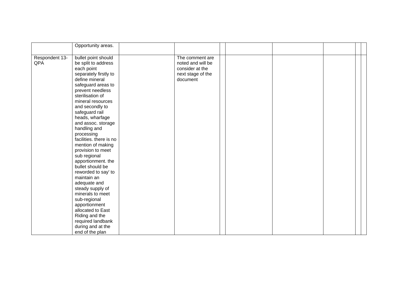|                       | Opportunity areas.                                                                                                                                                                                                                                                                                                                                                                                                                                                                                                                                               |                                                                                          |  |  |  |
|-----------------------|------------------------------------------------------------------------------------------------------------------------------------------------------------------------------------------------------------------------------------------------------------------------------------------------------------------------------------------------------------------------------------------------------------------------------------------------------------------------------------------------------------------------------------------------------------------|------------------------------------------------------------------------------------------|--|--|--|
| Respondent 13-<br>QPA | bullet point should<br>be split to address<br>each point<br>separately firstly to<br>define mineral<br>safeguard areas to<br>prevent needless<br>sterilisation of<br>mineral resources<br>and secondly to<br>safeguard rail<br>heads, wharfage<br>and assoc. storage<br>handling and<br>processing<br>facilities. there is no<br>mention of making<br>provision to meet<br>sub regional<br>apportionment. the<br>bullet should be<br>reworded to say' to<br>maintain an<br>adequate and<br>steady supply of<br>minerals to meet<br>sub-regional<br>apportionment | The comment are<br>noted and will be<br>consider at the<br>next stage of the<br>document |  |  |  |
|                       | allocated to East<br>Riding and the<br>required landbank<br>during and at the                                                                                                                                                                                                                                                                                                                                                                                                                                                                                    |                                                                                          |  |  |  |
|                       | end of the plan                                                                                                                                                                                                                                                                                                                                                                                                                                                                                                                                                  |                                                                                          |  |  |  |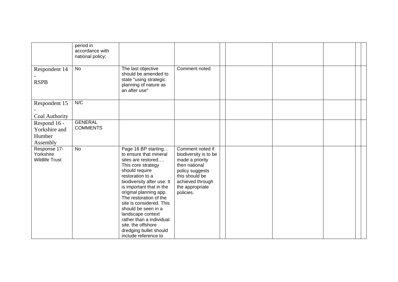|                                                     | period in<br>accordance with<br>national policy; |                                                                                                                                                                                                                                                                                                                                                                                                                           |                                                                                                                                                                        |  |  |  |
|-----------------------------------------------------|--------------------------------------------------|---------------------------------------------------------------------------------------------------------------------------------------------------------------------------------------------------------------------------------------------------------------------------------------------------------------------------------------------------------------------------------------------------------------------------|------------------------------------------------------------------------------------------------------------------------------------------------------------------------|--|--|--|
| Respondent 14<br><b>RSPB</b>                        | No                                               | The last objective<br>should be amended to<br>state "using strategic<br>planning of nature as<br>an after use"                                                                                                                                                                                                                                                                                                            | Comment noted                                                                                                                                                          |  |  |  |
| Respondent 15<br>Coal Authority                     | N/C                                              |                                                                                                                                                                                                                                                                                                                                                                                                                           |                                                                                                                                                                        |  |  |  |
| Respond 16 -<br>Yorkshire and<br>Humber<br>Assembly | <b>GENERAL</b><br><b>COMMENTS</b>                |                                                                                                                                                                                                                                                                                                                                                                                                                           |                                                                                                                                                                        |  |  |  |
| Response 17-<br>Yorkshire<br><b>Wildlife Trust</b>  | <b>No</b>                                        | Page 16 BP starting<br>to ensure that mineral<br>sites are restored<br>This core strategy<br>should require<br>restoration to a<br>biodiversity after use. It<br>is important that in the<br>original planning app.<br>The restoration of the<br>site is considered. This<br>should be seen in a<br>landscape context<br>rather than a individual<br>site. the offshore<br>dredging bullet should<br>include reference to | Comment noted if<br>biodiversity is to be<br>made a priority<br>then national<br>policy suggests<br>this should be<br>achieved through<br>the appropriate<br>policies. |  |  |  |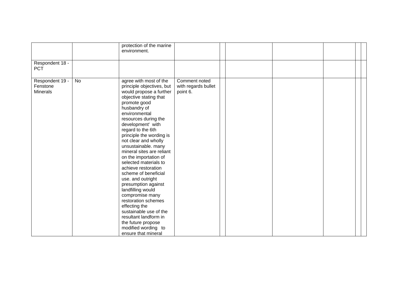|                                                |           | protection of the marine<br>environment.                                                                                                                                                                                                                                                                                                                                                                                                                                                                                                                                                                                                                                                |                                                  |  |  |  |
|------------------------------------------------|-----------|-----------------------------------------------------------------------------------------------------------------------------------------------------------------------------------------------------------------------------------------------------------------------------------------------------------------------------------------------------------------------------------------------------------------------------------------------------------------------------------------------------------------------------------------------------------------------------------------------------------------------------------------------------------------------------------------|--------------------------------------------------|--|--|--|
| Respondent 18 -<br><b>PCT</b>                  |           |                                                                                                                                                                                                                                                                                                                                                                                                                                                                                                                                                                                                                                                                                         |                                                  |  |  |  |
| Respondent 19 -<br>Fenstone<br><b>Minerals</b> | <b>No</b> | agree with most of the<br>principle objectives, but<br>would propose a further<br>objective stating that<br>promote good<br>husbandry of<br>environmental<br>resources during the<br>development' with<br>regard to the 6th<br>principle the wording is<br>not clear and wholly<br>unsustainable. many<br>mineral sites are reliant<br>on the importation of<br>selected materials to<br>achieve restoration<br>scheme of beneficial<br>use. and outright<br>presumption against<br>landfilling would<br>compromise many<br>restoration schemes<br>effecting the<br>sustainable use of the<br>resultant landform in<br>the future propose<br>modified wording to<br>ensure that mineral | Comment noted<br>with regards bullet<br>point 6. |  |  |  |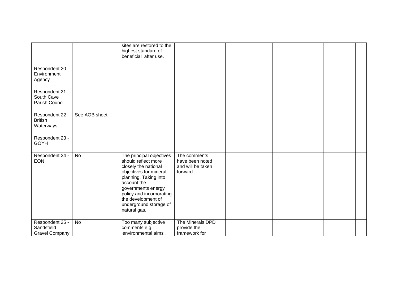|                                                        |                | sites are restored to the<br>highest standard of<br>beneficial after use.                                                                                                                                                                                   |                                                                 |  |  |  |
|--------------------------------------------------------|----------------|-------------------------------------------------------------------------------------------------------------------------------------------------------------------------------------------------------------------------------------------------------------|-----------------------------------------------------------------|--|--|--|
| Respondent 20<br>Environment<br>Agency                 |                |                                                                                                                                                                                                                                                             |                                                                 |  |  |  |
| Respondent 21-<br>South Cave<br>Parish Council         |                |                                                                                                                                                                                                                                                             |                                                                 |  |  |  |
| Respondent 22 -<br><b>British</b><br>Waterways         | See AOB sheet. |                                                                                                                                                                                                                                                             |                                                                 |  |  |  |
| Respondent 23 -<br><b>GOYH</b>                         |                |                                                                                                                                                                                                                                                             |                                                                 |  |  |  |
| Respondent 24 -<br><b>EON</b>                          | <b>No</b>      | The principal objectives<br>should reflect more<br>closely the national<br>objectives for mineral<br>planning. Taking into<br>account the<br>governments energy<br>policy and incorporating<br>the development of<br>underground storage of<br>natural gas. | The comments<br>have been noted<br>and will be taken<br>forward |  |  |  |
| Respondent 25 -<br>Sandsfield<br><b>Gravel Company</b> | <b>No</b>      | Too many subjective<br>comments e.g.<br>'environmental aims'.                                                                                                                                                                                               | The Minerals DPD<br>provide the<br>framework for                |  |  |  |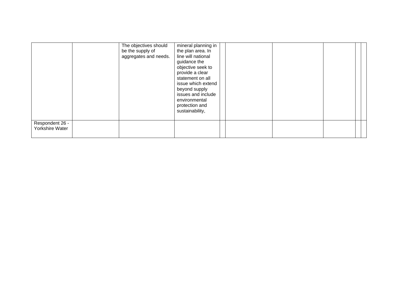|                                    | The objectives should<br>be the supply of<br>aggregates and needs. | mineral planning in<br>the plan area. In<br>line will national<br>guidance the<br>objective seek to<br>provide a clear<br>statement on all<br>issue which extend<br>beyond supply<br>issues and include<br>environmental<br>protection and<br>sustainability, |  |  |  |
|------------------------------------|--------------------------------------------------------------------|---------------------------------------------------------------------------------------------------------------------------------------------------------------------------------------------------------------------------------------------------------------|--|--|--|
| Respondent 26 -<br>Yorkshire Water |                                                                    |                                                                                                                                                                                                                                                               |  |  |  |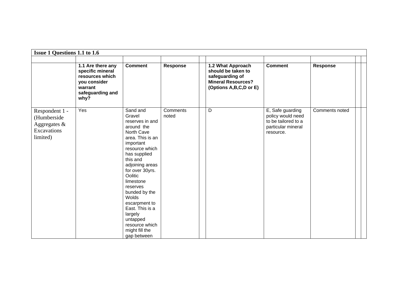| Issue 1 Questions 1.1 to 1.6                                             |                                                                                                                 |                                                                                                                                                                                                                                                                                                                                                                    |                   |                                                                                                                   |                                                                                                 |                 |  |  |  |  |  |  |
|--------------------------------------------------------------------------|-----------------------------------------------------------------------------------------------------------------|--------------------------------------------------------------------------------------------------------------------------------------------------------------------------------------------------------------------------------------------------------------------------------------------------------------------------------------------------------------------|-------------------|-------------------------------------------------------------------------------------------------------------------|-------------------------------------------------------------------------------------------------|-----------------|--|--|--|--|--|--|
|                                                                          |                                                                                                                 |                                                                                                                                                                                                                                                                                                                                                                    |                   |                                                                                                                   |                                                                                                 |                 |  |  |  |  |  |  |
|                                                                          | 1.1 Are there any<br>specific mineral<br>resources which<br>you consider<br>warrant<br>safeguarding and<br>why? | <b>Comment</b>                                                                                                                                                                                                                                                                                                                                                     | <b>Response</b>   | 1.2 What Approach<br>should be taken to<br>safeguarding of<br><b>Mineral Resources?</b><br>(Options A,B,C,D or E) | <b>Comment</b>                                                                                  | <b>Response</b> |  |  |  |  |  |  |
| Respondent 1 -<br>(Humberside<br>Aggregates &<br>Excavations<br>limited) | Yes                                                                                                             | Sand and<br>Gravel<br>reserves in and<br>around the<br>North Cave<br>area. This is an<br>important<br>resource which<br>has supplied<br>this and<br>adjoining areas<br>for over 30yrs.<br>Oolitic<br>limestone<br>reserves<br>bunded by the<br>Wolds<br>escarpment to<br>East. This is a<br>largely<br>untapped<br>resource which<br>might fill the<br>gap between | Comments<br>noted | D                                                                                                                 | E, Safe guarding<br>policy would need<br>to be tailored to a<br>particular mineral<br>resource. | Comments noted  |  |  |  |  |  |  |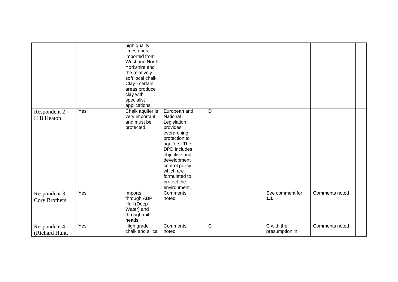|                                  |     | high quality<br>limestones<br>imported from<br>West and North<br>Yorkshire and<br>the relatively<br>soft local chalk.<br>Clay - certain<br>areas produce<br>clay with<br>specialist<br>applications. |                                                                                                                                                                                                                                            |                |                              |                |  |
|----------------------------------|-----|------------------------------------------------------------------------------------------------------------------------------------------------------------------------------------------------------|--------------------------------------------------------------------------------------------------------------------------------------------------------------------------------------------------------------------------------------------|----------------|------------------------------|----------------|--|
| Respondent 2 -<br>H B Heaton     | Yes | Chalk aquifer is<br>very important<br>and must be<br>protected.                                                                                                                                      | European and<br>National<br>Legislation<br>provides<br>overarching<br>protection to<br>aquifers. The<br><b>DPD</b> includes<br>objective and<br>development<br>control policy<br>which are<br>formulated to<br>protect the<br>environment. | $\overline{D}$ |                              |                |  |
| Respondent 3 -<br>Cory Brothers  | Yes | Imports<br>through ABP<br>Hull (Deep<br>Water) and<br>through rail<br>heads                                                                                                                          | Comments<br>noted                                                                                                                                                                                                                          |                | See comment for<br>$1.1$     | Comments noted |  |
| Respondent 4 -<br>(Richard Hunt, | Yes | High grade<br>chalk and silica                                                                                                                                                                       | Comments<br>noted                                                                                                                                                                                                                          | $\overline{C}$ | C with the<br>presumption in | Comments noted |  |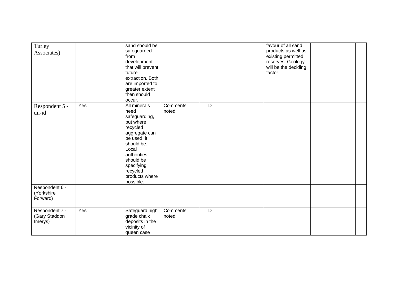| Turley<br>Associates)                      |     | sand should be<br>safeguarded<br>from<br>development<br>that will prevent<br>future<br>extraction. Both<br>are imported to<br>greater extent<br>then should<br>occur.                                      |                   |   | favour of all sand<br>products as well as<br>existing permitted<br>reserves. Geology<br>will be the deciding<br>factor. |  |  |
|--------------------------------------------|-----|------------------------------------------------------------------------------------------------------------------------------------------------------------------------------------------------------------|-------------------|---|-------------------------------------------------------------------------------------------------------------------------|--|--|
| Respondent 5 -<br>un-id                    | Yes | All minerals<br>need<br>safeguarding,<br>but where<br>recycled<br>aggregate can<br>be used, it<br>should be.<br>Local<br>authorities<br>should be<br>specifying<br>recycled<br>products where<br>possible. | Comments<br>noted | D |                                                                                                                         |  |  |
| Respondent 6 -<br>(Yorkshire<br>Forward)   |     |                                                                                                                                                                                                            |                   |   |                                                                                                                         |  |  |
| Respondent 7 -<br>(Gary Staddon<br>Imerys) | Yes | Safeguard high<br>grade chalk<br>deposits in the<br>vicinity of<br>queen case                                                                                                                              | Comments<br>noted | D |                                                                                                                         |  |  |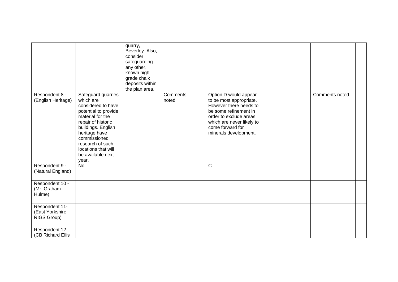|                                                  |                                                                                                                                                                                                                                                         | quarry,<br>Beverley. Also,<br>consider<br>safeguarding<br>any other,<br>known high<br>grade chalk<br>deposits within<br>the plan area. |                   |                                                                                                                                                                                                         |                |  |
|--------------------------------------------------|---------------------------------------------------------------------------------------------------------------------------------------------------------------------------------------------------------------------------------------------------------|----------------------------------------------------------------------------------------------------------------------------------------|-------------------|---------------------------------------------------------------------------------------------------------------------------------------------------------------------------------------------------------|----------------|--|
| Respondent 8 -<br>(English Heritage)             | Safeguard quarries<br>which are<br>considered to have<br>potential to provide<br>material for the<br>repair of historic<br>buildings. English<br>heritage have<br>commissioned<br>research of such<br>locations that will<br>be available next<br>year. |                                                                                                                                        | Comments<br>noted | Option D would appear<br>to be most appropriate.<br>However there needs to<br>be some refinement in<br>order to exclude areas<br>which are never likely to<br>come forward for<br>minerals development. | Comments noted |  |
| Respondent 9 -<br>(Natural England)              | <b>No</b>                                                                                                                                                                                                                                               |                                                                                                                                        |                   | $\mathsf{C}$                                                                                                                                                                                            |                |  |
| Respondent 10 -<br>(Mr. Graham<br>Hulme)         |                                                                                                                                                                                                                                                         |                                                                                                                                        |                   |                                                                                                                                                                                                         |                |  |
| Respondent 11-<br>(East Yorkshire<br>RIGS Group) |                                                                                                                                                                                                                                                         |                                                                                                                                        |                   |                                                                                                                                                                                                         |                |  |
| Respondent 12 -<br>(CB Richard Ellis             |                                                                                                                                                                                                                                                         |                                                                                                                                        |                   |                                                                                                                                                                                                         |                |  |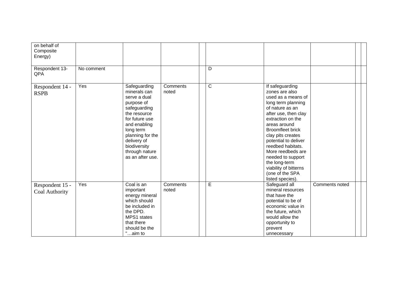| on behalf of<br>Composite<br>Energy) |            |                                                                                                                                                                                                                                    |                   |                |                                                                                                                                                                                                                                                                                                                                                                                       |                |  |
|--------------------------------------|------------|------------------------------------------------------------------------------------------------------------------------------------------------------------------------------------------------------------------------------------|-------------------|----------------|---------------------------------------------------------------------------------------------------------------------------------------------------------------------------------------------------------------------------------------------------------------------------------------------------------------------------------------------------------------------------------------|----------------|--|
| Respondent 13-<br>QPA                | No comment |                                                                                                                                                                                                                                    |                   | D              |                                                                                                                                                                                                                                                                                                                                                                                       |                |  |
| Respondent 14 -<br><b>RSPB</b>       | Yes        | Safeguarding<br>minerals can<br>serve a dual<br>purpose of<br>safeguarding<br>the resource<br>for future use<br>and enabling<br>long term<br>planning for the<br>delivery of<br>biodiversity<br>through nature<br>as an after use. | Comments<br>noted | $\overline{C}$ | If safeguarding<br>zones are also<br>used as a means of<br>long term planning<br>of nature as an<br>after use, then clay<br>extraction on the<br>areas around<br><b>Broomfleet brick</b><br>clay pits creates<br>potential to deliver<br>reedbed habitats.<br>More reedbeds are<br>needed to support<br>the long-term<br>viability of bitterns<br>(one of the SPA<br>listed species). |                |  |
| Respondent 15 -<br>Coal Authority    | Yes        | Coal is an<br>important<br>energy mineral<br>which should<br>be included in<br>the DPD.<br>MPS1 states<br>that there<br>should be the<br>"aim to                                                                                   | Comments<br>noted | $\overline{E}$ | Safeguard all<br>mineral resources<br>that have the<br>potential to be of<br>economic value in<br>the future, which<br>would allow the<br>opportunity to<br>prevent<br>unnecessary                                                                                                                                                                                                    | Comments noted |  |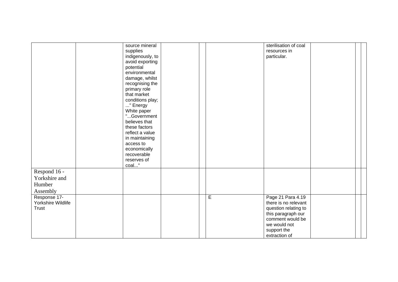|                    | source mineral   |                | sterilisation of coal |  |
|--------------------|------------------|----------------|-----------------------|--|
|                    | supplies         |                | resources in          |  |
|                    | indigenously, to |                | particular.           |  |
|                    | avoid exporting  |                |                       |  |
|                    | potential        |                |                       |  |
|                    | environmental    |                |                       |  |
|                    | damage, whilst   |                |                       |  |
|                    | recognising the  |                |                       |  |
|                    | primary role     |                |                       |  |
|                    | that market      |                |                       |  |
|                    | conditions play; |                |                       |  |
|                    | " Energy         |                |                       |  |
|                    | White paper      |                |                       |  |
|                    | "Government      |                |                       |  |
|                    | believes that    |                |                       |  |
|                    | these factors    |                |                       |  |
|                    | reflect a value  |                |                       |  |
|                    | in maintaining   |                |                       |  |
|                    | access to        |                |                       |  |
|                    | economically     |                |                       |  |
|                    | recoverable      |                |                       |  |
|                    | reserves of      |                |                       |  |
|                    | coal"            |                |                       |  |
| Respond 16 -       |                  |                |                       |  |
|                    |                  |                |                       |  |
| Yorkshire and      |                  |                |                       |  |
| Humber             |                  |                |                       |  |
| Assembly           |                  |                |                       |  |
| Response 17-       |                  | $\overline{E}$ | Page 21 Para 4.19     |  |
| Yorkshire Wildlife |                  |                | there is no relevant  |  |
| <b>Trust</b>       |                  |                | question relating to  |  |
|                    |                  |                | this paragraph our    |  |
|                    |                  |                | comment would be      |  |
|                    |                  |                | we would not          |  |
|                    |                  |                |                       |  |
|                    |                  |                | support the           |  |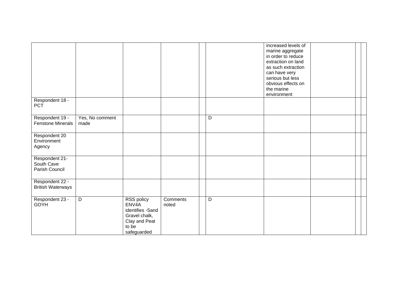|                                                |                         |                                                                                                   |                   |   | increased levels of<br>marine aggregate<br>in order to reduce<br>extraction on land<br>as such extraction<br>can have very<br>serious but less<br>obvious effects on<br>the marine<br>environment |  |  |
|------------------------------------------------|-------------------------|---------------------------------------------------------------------------------------------------|-------------------|---|---------------------------------------------------------------------------------------------------------------------------------------------------------------------------------------------------|--|--|
| Respondent 18 -<br><b>PCT</b>                  |                         |                                                                                                   |                   |   |                                                                                                                                                                                                   |  |  |
| Respondent 19 -<br><b>Fenstone Minerals</b>    | Yes, No comment<br>made |                                                                                                   |                   | D |                                                                                                                                                                                                   |  |  |
| Respondent 20<br>Environment<br>Agency         |                         |                                                                                                   |                   |   |                                                                                                                                                                                                   |  |  |
| Respondent 21-<br>South Cave<br>Parish Council |                         |                                                                                                   |                   |   |                                                                                                                                                                                                   |  |  |
| Respondent 22 -<br><b>British Waterways</b>    |                         |                                                                                                   |                   |   |                                                                                                                                                                                                   |  |  |
| Respondent 23 -<br>GOYH                        | D                       | RSS policy<br>ENV4A<br>identifies -Sand<br>Gravel chalk,<br>Clay and Peat<br>to be<br>safeguarded | Comments<br>noted | D |                                                                                                                                                                                                   |  |  |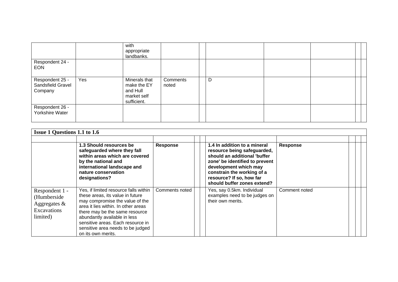|                                                 |     | with<br>appropriate<br>landbanks.                                      |                   |   |  |  |
|-------------------------------------------------|-----|------------------------------------------------------------------------|-------------------|---|--|--|
| Respondent 24 -<br><b>EON</b>                   |     |                                                                        |                   |   |  |  |
| Respondent 25 -<br>Sandsfield Gravel<br>Company | Yes | Minerals that<br>make the EY<br>and Hull<br>market self<br>sufficient. | Comments<br>noted | D |  |  |
| Respondent 26 -<br>Yorkshire Water              |     |                                                                        |                   |   |  |  |

| <b>Issue 1 Questions 1.1 to 1.6</b>                                          |                                                                                                                                                                                                                                                                                                                       |                 |                                                                                                                                                                                                                                                 |                 |  |
|------------------------------------------------------------------------------|-----------------------------------------------------------------------------------------------------------------------------------------------------------------------------------------------------------------------------------------------------------------------------------------------------------------------|-----------------|-------------------------------------------------------------------------------------------------------------------------------------------------------------------------------------------------------------------------------------------------|-----------------|--|
|                                                                              | 1.3 Should resources be<br>safeguarded where they fall<br>within areas which are covered<br>by the national and<br>international landscape and<br>nature conservation<br>designations?                                                                                                                                | <b>Response</b> | 1.4 In addition to a mineral<br>resource being safeguarded,<br>should an additional 'buffer<br>zone' be identified to prevent<br>development which may<br>constrain the working of a<br>resource? If so, how far<br>should buffer zones extend? | <b>Response</b> |  |
| Respondent 1 -<br>(Humberside)<br>Aggregates $\&$<br>Excavations<br>limited) | Yes, if limited resource falls within<br>these areas, its value in future<br>may compromise the value of the<br>area it lies within. In other areas<br>there may be the same resource<br>abundantly available in less<br>sensitive areas. Each resource in<br>sensitive area needs to be judged<br>on its own merits. | Comments noted  | Yes, say 0.5km. Individual<br>examples need to be judges on<br>their own merits.                                                                                                                                                                | Comment noted   |  |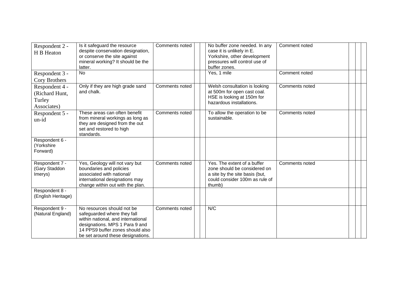| Respondent 2 -<br>H B Heaton                              | Is it safeguard the resource<br>despite conservation designation,<br>or conserve the site against<br>mineral working? It should be the<br>latter.                                                          | Comments noted | No buffer zone needed. In any<br>case it is unlikely in E.<br>Yorkshire, other development<br>pressures will control use of<br>buffer zones. | Comment noted  |  |  |
|-----------------------------------------------------------|------------------------------------------------------------------------------------------------------------------------------------------------------------------------------------------------------------|----------------|----------------------------------------------------------------------------------------------------------------------------------------------|----------------|--|--|
| Respondent 3 -<br>Cory Brothers                           | <b>No</b>                                                                                                                                                                                                  |                | Yes, 1 mile                                                                                                                                  | Comment noted  |  |  |
| Respondent 4 -<br>(Richard Hunt,<br>Turley<br>Associates) | Only if they are high grade sand<br>and chalk.                                                                                                                                                             | Comments noted | Welsh consultation is looking<br>at 500m for open cast coal.<br>HSE is looking at 150m for<br>hazardous installations.                       | Comments noted |  |  |
| Respondent 5 -<br>un-id                                   | These areas can often benefit<br>from mineral workings as long as<br>they are designed from the out<br>set and restored to high<br>standards.                                                              | Comments noted | To allow the operation to be<br>sustainable.                                                                                                 | Comments noted |  |  |
| Respondent 6 -<br>(Yorkshire<br>Forward)                  |                                                                                                                                                                                                            |                |                                                                                                                                              |                |  |  |
| Respondent 7 -<br>(Gary Staddon<br>Imerys)                | Yes, Geology will not vary but<br>boundaries and policies<br>associated with national/<br>international designations may<br>change within out with the plan.                                               | Comments noted | Yes. The extent of a buffer<br>zone should be considered on<br>a site by the site basis (but,<br>could consider 100m as rule of<br>thumb)    | Comments noted |  |  |
| Respondent 8 -<br>(English Heritage)                      |                                                                                                                                                                                                            |                |                                                                                                                                              |                |  |  |
| Respondent 9 -<br>(Natural England)                       | No resources should not be<br>safeguarded where they fall<br>within national, and international<br>designations. MPS 1 Para 9 and<br>14 PPS9 buffer zones should also<br>be set around these designations. | Comments noted | N/C                                                                                                                                          |                |  |  |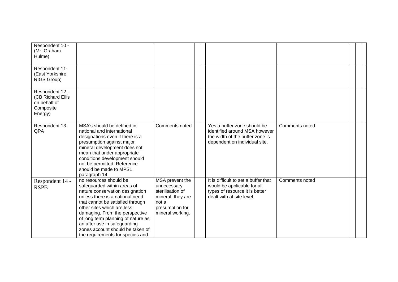| Respondent 10 -<br>(Mr. Graham<br>Hulme)                                     |                                                                                                                                                                                                                                                                                                                                                                               |                                                                                                                         |                                                                                                                                    |                |  |  |
|------------------------------------------------------------------------------|-------------------------------------------------------------------------------------------------------------------------------------------------------------------------------------------------------------------------------------------------------------------------------------------------------------------------------------------------------------------------------|-------------------------------------------------------------------------------------------------------------------------|------------------------------------------------------------------------------------------------------------------------------------|----------------|--|--|
| Respondent 11-<br>(East Yorkshire<br>RIGS Group)                             |                                                                                                                                                                                                                                                                                                                                                                               |                                                                                                                         |                                                                                                                                    |                |  |  |
| Respondent 12 -<br>(CB Richard Ellis<br>on behalf of<br>Composite<br>Energy) |                                                                                                                                                                                                                                                                                                                                                                               |                                                                                                                         |                                                                                                                                    |                |  |  |
| Respondent 13-<br>QPA                                                        | MSA's should be defined in<br>national and international<br>designations even if there is a<br>presumption against major<br>mineral development does not<br>mean that under appropriate<br>conditions development should<br>not be permitted. Reference<br>should be made to MPS1<br>paragraph 14                                                                             | Comments noted                                                                                                          | Yes a buffer zone should be<br>identified around MSA however<br>the width of the buffer zone is<br>dependent on individual site.   | Comments noted |  |  |
| Respondent 14 -<br><b>RSPB</b>                                               | no resources should be<br>safeguarded within areas of<br>nature conservation designation<br>unless there is a national need<br>that cannot be satisfied through<br>other sites which are less<br>damaging. From the perspective<br>of long term planning of nature as<br>an after use in safeguarding<br>zones account should be taken of<br>the requirements for species and | MSA prevent the<br>unnecessary<br>sterilisation of<br>mineral, they are<br>not a<br>presumption for<br>mineral working. | It is difficult to set a buffer that<br>would be applicable for all<br>types of resource it is better<br>dealt with at site level. | Comments noted |  |  |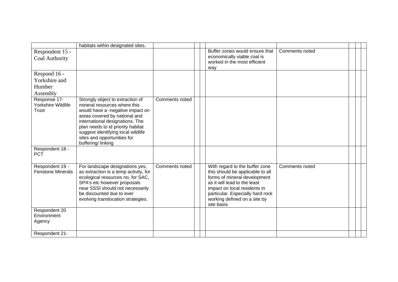|                                             | habitats within designated sites.                                                                                                                                                                                                                                                                       |                |                                                                                                                                                                                                                                                      |                |  |  |
|---------------------------------------------|---------------------------------------------------------------------------------------------------------------------------------------------------------------------------------------------------------------------------------------------------------------------------------------------------------|----------------|------------------------------------------------------------------------------------------------------------------------------------------------------------------------------------------------------------------------------------------------------|----------------|--|--|
| Respondent 15 -<br>Coal Authority           |                                                                                                                                                                                                                                                                                                         |                | Buffer zones would ensure that<br>economically viable coal is<br>worked in the most efficient<br>way                                                                                                                                                 | Comments noted |  |  |
| Respond 16 -                                |                                                                                                                                                                                                                                                                                                         |                |                                                                                                                                                                                                                                                      |                |  |  |
| Yorkshire and                               |                                                                                                                                                                                                                                                                                                         |                |                                                                                                                                                                                                                                                      |                |  |  |
| Humber                                      |                                                                                                                                                                                                                                                                                                         |                |                                                                                                                                                                                                                                                      |                |  |  |
| Assembly                                    |                                                                                                                                                                                                                                                                                                         |                |                                                                                                                                                                                                                                                      |                |  |  |
| Response 17-<br>Yorkshire Wildlife<br>Trust | Strongly object to extraction of<br>mineral resources where this<br>would have a -negative impact on<br>areas covered by national and<br>international designations. The<br>plan needs to id priority habitat<br>suggest identifying local wildlife<br>sites and opportunities for<br>buffering/linking | Comments noted |                                                                                                                                                                                                                                                      |                |  |  |
| Respondent 18 -<br><b>PCT</b>               |                                                                                                                                                                                                                                                                                                         |                |                                                                                                                                                                                                                                                      |                |  |  |
| Respondent 19 -<br><b>Fenstone Minerals</b> | For landscape designations yes,<br>as extraction is a temp activity, for<br>ecological resources no, for SAC,<br>SPA's etc however proposals<br>near SSSI should not necessarily<br>be discounted due to ever<br>evolving translocation strategies.                                                     | Comments noted | With regard to the buffer zone<br>this should be applicable to all<br>forms of mineral development<br>as it will lead to the least<br>impact on local residents in<br>particular. Especially hard rock<br>working defined on a site by<br>site basis | Comments noted |  |  |
| Respondent 20                               |                                                                                                                                                                                                                                                                                                         |                |                                                                                                                                                                                                                                                      |                |  |  |
| Environment<br>Agency                       |                                                                                                                                                                                                                                                                                                         |                |                                                                                                                                                                                                                                                      |                |  |  |
| Respondent 21-                              |                                                                                                                                                                                                                                                                                                         |                |                                                                                                                                                                                                                                                      |                |  |  |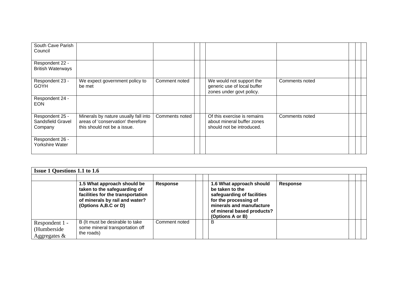| South Cave Parish<br>Council                    |                                                                                                          |                |                                                                                        |                |  |  |
|-------------------------------------------------|----------------------------------------------------------------------------------------------------------|----------------|----------------------------------------------------------------------------------------|----------------|--|--|
| Respondent 22 -<br><b>British Waterways</b>     |                                                                                                          |                |                                                                                        |                |  |  |
| Respondent 23 -<br><b>GOYH</b>                  | We expect government policy to<br>be met                                                                 | Comment noted  | We would not support the<br>generic use of local buffer<br>zones under govt policy.    | Comments noted |  |  |
| Respondent 24 -<br><b>EON</b>                   |                                                                                                          |                |                                                                                        |                |  |  |
| Respondent 25 -<br>Sandsfield Gravel<br>Company | Minerals by nature usually fall into<br>areas of 'conservation' therefore<br>this should not be a issue. | Comments noted | Of this exercise is remains<br>about mineral buffer zones<br>should not be introduced. | Comments noted |  |  |
| Respondent 26 -<br>Yorkshire Water              |                                                                                                          |                |                                                                                        |                |  |  |

|                                                  | <b>Issue 1 Questions 1.1 to 1.6</b>                                                                                                                        |                 |  |                                                                                                                                                                                  |          |  |  |  |  |  |  |  |
|--------------------------------------------------|------------------------------------------------------------------------------------------------------------------------------------------------------------|-----------------|--|----------------------------------------------------------------------------------------------------------------------------------------------------------------------------------|----------|--|--|--|--|--|--|--|
|                                                  | 1.5 What approach should be<br>taken to the safeguarding of<br>facilities for the transportation<br>of minerals by rail and water?<br>(Options A,B.C or D) | <b>Response</b> |  | 1.6 What approach should<br>be taken to the<br>safeguarding of facilities<br>for the processing of<br>minerals and manufacture<br>of mineral based products?<br>(Options A or B) | Response |  |  |  |  |  |  |  |
| Respondent 1 -<br>(Humberside<br>Aggregates $\&$ | B (It must be desirable to take<br>some mineral transportation off<br>the roads)                                                                           | Comment noted   |  | B                                                                                                                                                                                |          |  |  |  |  |  |  |  |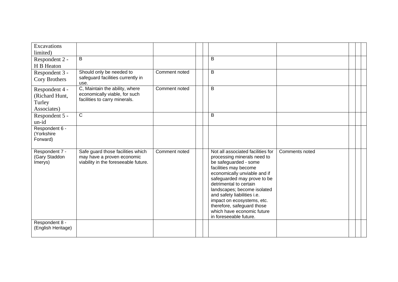| Excavations<br>limited)                                   |                                                                                                         |               |                                                                                                                                                                                                                                                                                                                                                                                               |                |  |  |
|-----------------------------------------------------------|---------------------------------------------------------------------------------------------------------|---------------|-----------------------------------------------------------------------------------------------------------------------------------------------------------------------------------------------------------------------------------------------------------------------------------------------------------------------------------------------------------------------------------------------|----------------|--|--|
| Respondent 2 -<br>H B Heaton                              | B                                                                                                       |               | B                                                                                                                                                                                                                                                                                                                                                                                             |                |  |  |
| Respondent 3 -<br>Cory Brothers                           | Should only be needed to<br>safeguard facilities currently in<br>use.                                   | Comment noted | B                                                                                                                                                                                                                                                                                                                                                                                             |                |  |  |
| Respondent 4 -<br>(Richard Hunt,<br>Turley<br>Associates) | C, Maintain the ability, where<br>economically viable, for such<br>facilities to carry minerals.        | Comment noted | B                                                                                                                                                                                                                                                                                                                                                                                             |                |  |  |
| Respondent 5 -<br>un-id                                   | $\mathsf C$                                                                                             |               | B                                                                                                                                                                                                                                                                                                                                                                                             |                |  |  |
| Respondent 6 -<br>(Yorkshire<br>Forward)                  |                                                                                                         |               |                                                                                                                                                                                                                                                                                                                                                                                               |                |  |  |
| Respondent 7 -<br>(Gary Staddon<br>Imerys)                | Safe guard those facilities which<br>may have a proven economic<br>viability in the foreseeable future. | Comment noted | Not all associated facilities for<br>processing minerals need to<br>be safeguarded - some<br>facilities may become<br>economically unviable and if<br>safeguarded may prove to be<br>detrimental to certain<br>landscapes; become isolated<br>and safety liabilities i.e.<br>impact on ecosystems, etc.<br>therefore, safeguard those<br>which have economic future<br>in foreseeable future. | Comments noted |  |  |
| Respondent 8 -<br>(English Heritage)                      |                                                                                                         |               |                                                                                                                                                                                                                                                                                                                                                                                               |                |  |  |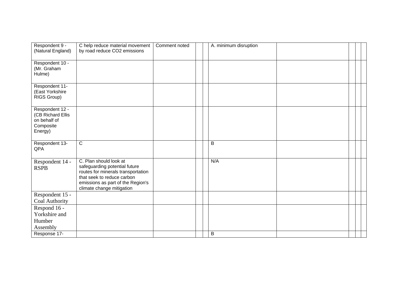| Respondent 9 -<br>(Natural England)                                          | C help reduce material movement<br>by road reduce CO2 emissions                                                                                                                               | Comment noted | A. minimum disruption |  |  |
|------------------------------------------------------------------------------|-----------------------------------------------------------------------------------------------------------------------------------------------------------------------------------------------|---------------|-----------------------|--|--|
| Respondent 10 -<br>(Mr. Graham<br>Hulme)                                     |                                                                                                                                                                                               |               |                       |  |  |
| Respondent 11-<br>(East Yorkshire<br>RIGS Group)                             |                                                                                                                                                                                               |               |                       |  |  |
| Respondent 12 -<br>(CB Richard Ellis<br>on behalf of<br>Composite<br>Energy) |                                                                                                                                                                                               |               |                       |  |  |
| Respondent 13-<br>QPA                                                        | $\overline{C}$                                                                                                                                                                                |               | B                     |  |  |
| Respondent 14 -<br><b>RSPB</b>                                               | C. Plan should look at<br>safeguarding potential future<br>routes for minerals transportation<br>that seek to reduce carbon<br>emissions as part of the Region's<br>climate change mitigation |               | N/A                   |  |  |
| Respondent 15 -<br>Coal Authority                                            |                                                                                                                                                                                               |               |                       |  |  |
| Respond 16 -<br>Yorkshire and<br>Humber<br>Assembly                          |                                                                                                                                                                                               |               |                       |  |  |
| Response 17-                                                                 |                                                                                                                                                                                               |               | B                     |  |  |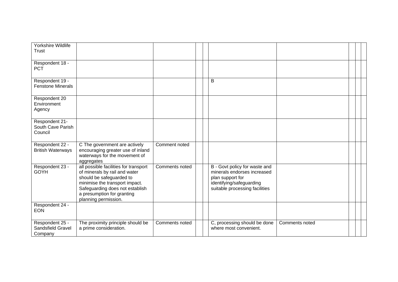| Yorkshire Wildlife<br><b>Trust</b>              |                                                                                                                                                                                                                               |                |  |                                                                                                                                                |                |  |  |
|-------------------------------------------------|-------------------------------------------------------------------------------------------------------------------------------------------------------------------------------------------------------------------------------|----------------|--|------------------------------------------------------------------------------------------------------------------------------------------------|----------------|--|--|
| Respondent 18 -<br><b>PCT</b>                   |                                                                                                                                                                                                                               |                |  |                                                                                                                                                |                |  |  |
| Respondent 19 -<br><b>Fenstone Minerals</b>     |                                                                                                                                                                                                                               |                |  | B                                                                                                                                              |                |  |  |
| Respondent 20<br>Environment<br>Agency          |                                                                                                                                                                                                                               |                |  |                                                                                                                                                |                |  |  |
| Respondent 21-<br>South Cave Parish<br>Council  |                                                                                                                                                                                                                               |                |  |                                                                                                                                                |                |  |  |
| Respondent 22 -<br><b>British Waterways</b>     | C The government are actively<br>encouraging greater use of inland<br>waterways for the movement of<br>aggregates                                                                                                             | Comment noted  |  |                                                                                                                                                |                |  |  |
| Respondent 23 -<br><b>GOYH</b>                  | all possible facilities for transport<br>of minerals by rail and water<br>should be safeguarded to<br>minimise the transport impact.<br>Safeguarding does not establish<br>a presumption for granting<br>planning permission. | Comments noted |  | B - Govt policy for waste and<br>minerals endorses increased<br>plan support for<br>identifying/safeguarding<br>suitable processing facilities |                |  |  |
| Respondent 24 -<br><b>EON</b>                   |                                                                                                                                                                                                                               |                |  |                                                                                                                                                |                |  |  |
| Respondent 25 -<br>Sandsfield Gravel<br>Company | The proximity principle should be<br>a prime consideration.                                                                                                                                                                   | Comments noted |  | C, processing should be done<br>where most convenient.                                                                                         | Comments noted |  |  |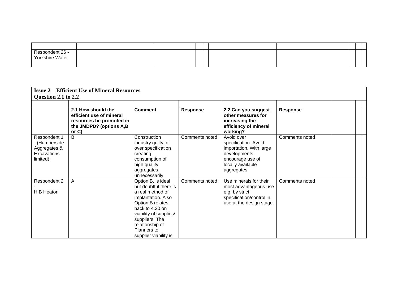| Respondent 26 -<br>Yorkshire Water |  |  |  |  |  |
|------------------------------------|--|--|--|--|--|
|                                    |  |  |  |  |  |

|                                                                          | <b>Issue 2 – Efficient Use of Mineral Resources</b>                                                               |                                                                                                                                                                                                                                     |                 |                                                                                                                                       |                 |  |
|--------------------------------------------------------------------------|-------------------------------------------------------------------------------------------------------------------|-------------------------------------------------------------------------------------------------------------------------------------------------------------------------------------------------------------------------------------|-----------------|---------------------------------------------------------------------------------------------------------------------------------------|-----------------|--|
| Question 2.1 to 2.2                                                      |                                                                                                                   |                                                                                                                                                                                                                                     |                 |                                                                                                                                       |                 |  |
|                                                                          |                                                                                                                   |                                                                                                                                                                                                                                     |                 |                                                                                                                                       |                 |  |
|                                                                          | 2.1 How should the<br>efficient use of mineral<br>resources be promoted in<br>the JMDPD? (options A,B<br>or $C$ ) | <b>Comment</b>                                                                                                                                                                                                                      | <b>Response</b> | 2.2 Can you suggest<br>other measures for<br>increasing the<br>efficiency of mineral<br>working?                                      | <b>Response</b> |  |
| Respondent 1<br>- (Humberside<br>Aggregates &<br>Excavations<br>limited) | B                                                                                                                 | Construction<br>industry guilty of<br>over specification<br>creating<br>consumption of<br>high quality<br>aggregates<br>unnecessarily.                                                                                              | Comments noted  | Avoid over<br>specification. Avoid<br>importation. With large<br>developments<br>encourage use of<br>locally available<br>aggregates. | Comments noted  |  |
| Respondent 2<br>H B Heaton                                               | A                                                                                                                 | Option B, is ideal<br>but doubtful there is<br>a real method of<br>implantation. Also<br>Option B relates<br>back to 4.30 on<br>viability of supplies/<br>suppliers. The<br>relationship of<br>Planners to<br>supplier viability is | Comments noted  | Use minerals for their<br>most advantageous use<br>e.g. by strict<br>specification/control in<br>use at the design stage.             | Comments noted  |  |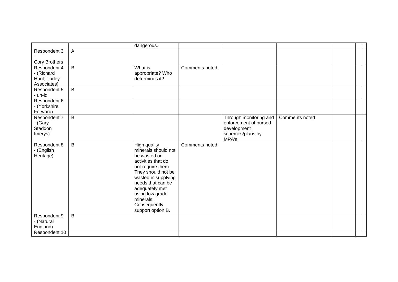|                                                           |                | dangerous.                                                                                                                                                                                                                                                     |                |                                                                                              |                |  |
|-----------------------------------------------------------|----------------|----------------------------------------------------------------------------------------------------------------------------------------------------------------------------------------------------------------------------------------------------------------|----------------|----------------------------------------------------------------------------------------------|----------------|--|
| Respondent 3                                              | $\mathsf{A}$   |                                                                                                                                                                                                                                                                |                |                                                                                              |                |  |
| Cory Brothers                                             |                |                                                                                                                                                                                                                                                                |                |                                                                                              |                |  |
| Respondent 4<br>- (Richard<br>Hunt, Turley<br>Associates) | $\overline{B}$ | What is<br>appropriate? Who<br>determines it?                                                                                                                                                                                                                  | Comments noted |                                                                                              |                |  |
| Respondent 5<br>- un-id                                   | B              |                                                                                                                                                                                                                                                                |                |                                                                                              |                |  |
| Respondent 6<br>- (Yorkshire<br>Forward)                  |                |                                                                                                                                                                                                                                                                |                |                                                                                              |                |  |
| Respondent 7<br>- (Gary<br>Staddon<br>Imerys)             | $\overline{B}$ |                                                                                                                                                                                                                                                                |                | Through monitoring and<br>enforcement of pursed<br>development<br>schemes/plans by<br>MPA's. | Comments noted |  |
| Respondent 8<br>- (English<br>Heritage)                   | B              | <b>High quality</b><br>minerals should not<br>be wasted on<br>activities that do<br>not require them.<br>They should not be<br>wasted in supplying<br>needs that can be<br>adequately met<br>using low grade<br>minerals.<br>Consequently<br>support option B. | Comments noted |                                                                                              |                |  |
| Respondent 9<br>- (Natural<br>England)                    | $\overline{B}$ |                                                                                                                                                                                                                                                                |                |                                                                                              |                |  |
| Respondent 10                                             |                |                                                                                                                                                                                                                                                                |                |                                                                                              |                |  |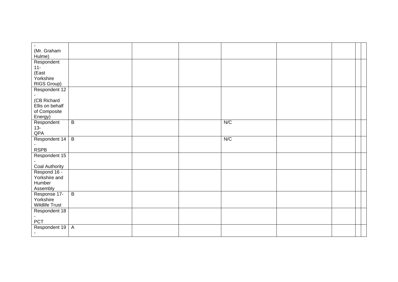| (Mr. Graham           |                |  |     |  |  |
|-----------------------|----------------|--|-----|--|--|
| Hulme)                |                |  |     |  |  |
| Respondent            |                |  |     |  |  |
| $11 -$<br>(East       |                |  |     |  |  |
| Yorkshire             |                |  |     |  |  |
| RIGS Group)           |                |  |     |  |  |
| Respondent 12         |                |  |     |  |  |
|                       |                |  |     |  |  |
| (CB Richard           |                |  |     |  |  |
| Ellis on behalf       |                |  |     |  |  |
| of Composite          |                |  |     |  |  |
| Energy)               |                |  |     |  |  |
| Respondent            | $\overline{B}$ |  | N/C |  |  |
| $13-$<br>QPA          |                |  |     |  |  |
| Respondent 14         | $\overline{B}$ |  | N/C |  |  |
|                       |                |  |     |  |  |
| <b>RSPB</b>           |                |  |     |  |  |
| Respondent 15         |                |  |     |  |  |
|                       |                |  |     |  |  |
| Coal Authority        |                |  |     |  |  |
| Respond 16 -          |                |  |     |  |  |
| Yorkshire and         |                |  |     |  |  |
| Humber<br>Assembly    |                |  |     |  |  |
| Response 17-          | $\overline{B}$ |  |     |  |  |
| Yorkshire             |                |  |     |  |  |
| <b>Wildlife Trust</b> |                |  |     |  |  |
| Respondent 18         |                |  |     |  |  |
|                       |                |  |     |  |  |
| PCT                   |                |  |     |  |  |
| Respondent 19         | $\overline{A}$ |  |     |  |  |
|                       |                |  |     |  |  |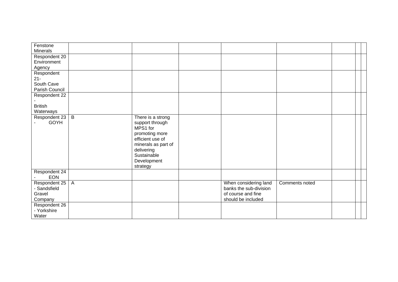| Fenstone<br><b>Minerals</b>                          |                |                                                                                                                                                                       |                                                                                             |                |  |  |
|------------------------------------------------------|----------------|-----------------------------------------------------------------------------------------------------------------------------------------------------------------------|---------------------------------------------------------------------------------------------|----------------|--|--|
| Respondent 20<br>Environment<br>Agency               |                |                                                                                                                                                                       |                                                                                             |                |  |  |
| Respondent<br>$21 -$<br>South Cave<br>Parish Council |                |                                                                                                                                                                       |                                                                                             |                |  |  |
| Respondent 22<br><b>British</b><br><b>Waterways</b>  |                |                                                                                                                                                                       |                                                                                             |                |  |  |
| Respondent 23<br>GOYH                                | $\mathsf B$    | There is a strong<br>support through<br>MPS1 for<br>promoting more<br>efficient use of<br>minerals as part of<br>delivering<br>Sustainable<br>Development<br>strategy |                                                                                             |                |  |  |
| Respondent 24<br><b>EON</b>                          |                |                                                                                                                                                                       |                                                                                             |                |  |  |
| Respondent 25<br>- Sandsfield<br>Gravel<br>Company   | $\overline{A}$ |                                                                                                                                                                       | When considering land<br>banks the sub-division<br>of course and fine<br>should be included | Comments noted |  |  |
| Respondent 26<br>- Yorkshire<br>Water                |                |                                                                                                                                                                       |                                                                                             |                |  |  |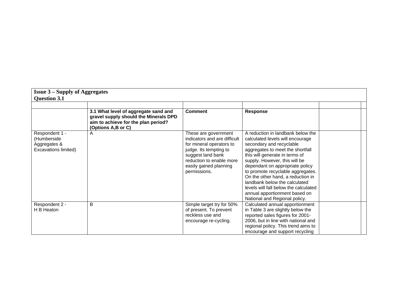| <b>Issue 3 – Supply of Aggregates</b><br><b>Question 3.1</b>          |                                                                                                                                            |                                                                                                                                                                                                       |                                                                                                                                                                                                                                                                                                                                                                                                                                                                   |  |
|-----------------------------------------------------------------------|--------------------------------------------------------------------------------------------------------------------------------------------|-------------------------------------------------------------------------------------------------------------------------------------------------------------------------------------------------------|-------------------------------------------------------------------------------------------------------------------------------------------------------------------------------------------------------------------------------------------------------------------------------------------------------------------------------------------------------------------------------------------------------------------------------------------------------------------|--|
|                                                                       | 3.1 What level of aggregate sand and<br>gravel supply should the Minerals DPD<br>aim to achieve for the plan period?<br>(Options A,B or C) | <b>Comment</b>                                                                                                                                                                                        | <b>Response</b>                                                                                                                                                                                                                                                                                                                                                                                                                                                   |  |
| Respondent 1 -<br>(Humberside<br>Aggregates &<br>Excavations limited) | A                                                                                                                                          | These are government<br>indicators and are difficult<br>for mineral operators to<br>judge. Its tempting to<br>suggest land bank<br>reduction to enable more<br>easily gained planning<br>permissions. | A reduction in landbank below the<br>calculated levels will encourage<br>secondary and recyclable<br>aggregates to meet the shortfall<br>this will generate in terms of<br>supply. However, this will be<br>dependant on appropriate policy<br>to promote recyclable aggregates.<br>On the other hand, a reduction in<br>landbank below the calculated<br>levels will fall below the calculated<br>annual apportionment based on<br>National and Regional policy. |  |
| Respondent 2 -<br>H B Heaton                                          | B                                                                                                                                          | Simple target try for 50%<br>of present. To prevent<br>reckless use and<br>encourage re-cycling.                                                                                                      | Calculated annual apportionment<br>in Table 3 are slightly below the<br>reported sales figures for 2001-<br>2006, but in line with national and<br>regional policy. This trend aims to<br>encourage and support recycling                                                                                                                                                                                                                                         |  |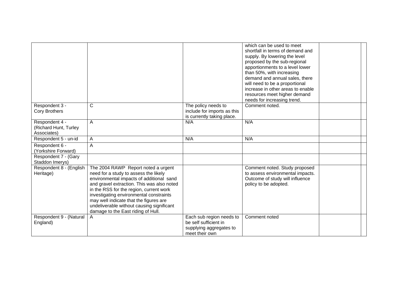|                                                        |                                                                                                                                                                                                                                                                                                                                                                                           |                                                                                                | which can be used to meet<br>shortfall in terms of demand and<br>supply. By lowering the level<br>proposed by the sub-regional<br>apportionments to a level lower<br>than 50%, with increasing<br>demand and annual sales, there<br>will need to be a proportional<br>increase in other areas to enable<br>resources meet higher demand<br>needs for increasing trend. |  |
|--------------------------------------------------------|-------------------------------------------------------------------------------------------------------------------------------------------------------------------------------------------------------------------------------------------------------------------------------------------------------------------------------------------------------------------------------------------|------------------------------------------------------------------------------------------------|------------------------------------------------------------------------------------------------------------------------------------------------------------------------------------------------------------------------------------------------------------------------------------------------------------------------------------------------------------------------|--|
| Respondent 3 -<br><b>Cory Brothers</b>                 | $\mathsf{C}$                                                                                                                                                                                                                                                                                                                                                                              | The policy needs to<br>include for imports as this<br>is currently taking place.               | Comment noted.                                                                                                                                                                                                                                                                                                                                                         |  |
| Respondent 4 -<br>(Richard Hunt, Turley<br>Associates) | $\overline{A}$                                                                                                                                                                                                                                                                                                                                                                            | N/A                                                                                            | N/A                                                                                                                                                                                                                                                                                                                                                                    |  |
| Respondent 5 - un-id                                   | Α                                                                                                                                                                                                                                                                                                                                                                                         | N/A                                                                                            | N/A                                                                                                                                                                                                                                                                                                                                                                    |  |
| Respondent 6 -<br>(Yorkshire Forward)                  | A                                                                                                                                                                                                                                                                                                                                                                                         |                                                                                                |                                                                                                                                                                                                                                                                                                                                                                        |  |
| Respondent 7 - (Gary<br>Staddon Imerys)                |                                                                                                                                                                                                                                                                                                                                                                                           |                                                                                                |                                                                                                                                                                                                                                                                                                                                                                        |  |
| Respondent 8 - (English<br>Heritage)                   | The 2004 RAWP Report noted a urgent<br>need for a study to assess the likely<br>environmental impacts of additional sand<br>and gravel extraction. This was also noted<br>in the RSS for the region, current work<br>investigating environmental constraints<br>may well indicate that the figures are<br>undeliverable without causing significant<br>damage to the East riding of Hull. |                                                                                                | Comment noted. Study proposed<br>to assess environmental impacts.<br>Outcome of study will influence<br>policy to be adopted.                                                                                                                                                                                                                                          |  |
| Respondent 9 - (Natural<br>England)                    | A                                                                                                                                                                                                                                                                                                                                                                                         | Each sub region needs to<br>be self sufficient in<br>supplying aggregates to<br>meet their own | Comment noted                                                                                                                                                                                                                                                                                                                                                          |  |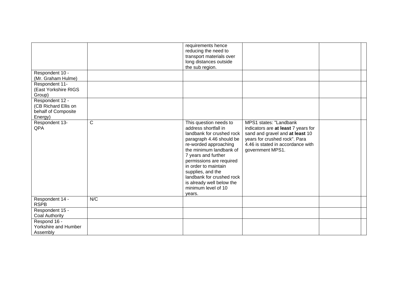|                                                                           |              | requirements hence<br>reducing the need to<br>transport materials over<br>long distances outside<br>the sub region.                                                                                                                                                                                                                                    |                                                                                                                                                                                            |  |
|---------------------------------------------------------------------------|--------------|--------------------------------------------------------------------------------------------------------------------------------------------------------------------------------------------------------------------------------------------------------------------------------------------------------------------------------------------------------|--------------------------------------------------------------------------------------------------------------------------------------------------------------------------------------------|--|
| Respondent 10 -<br>(Mr. Graham Hulme)                                     |              |                                                                                                                                                                                                                                                                                                                                                        |                                                                                                                                                                                            |  |
| Respondent 11-<br>(East Yorkshire RIGS<br>Group)                          |              |                                                                                                                                                                                                                                                                                                                                                        |                                                                                                                                                                                            |  |
| Respondent 12 -<br>(CB Richard Ellis on<br>behalf of Composite<br>Energy) |              |                                                                                                                                                                                                                                                                                                                                                        |                                                                                                                                                                                            |  |
| Respondent 13-<br>QPA                                                     | $\mathsf{C}$ | This question needs to<br>address shortfall in<br>landbank for crushed rock<br>paragraph 4.46 should be<br>re-worded approaching<br>the minimum landbank of<br>7 years and further<br>permissions are required<br>in order to maintain<br>supplies, and the<br>landbank for crushed rock<br>is already well below the<br>minimum level of 10<br>vears. | MPS1 states: "Landbank<br>indicators are at least 7 years for<br>sand and gravel and at least 10<br>years for crushed rock". Para<br>4.46 is stated in accordance with<br>government MPS1. |  |
| Respondent 14 -<br><b>RSPB</b>                                            | N/C          |                                                                                                                                                                                                                                                                                                                                                        |                                                                                                                                                                                            |  |
| Respondent 15 -<br><b>Coal Authority</b>                                  |              |                                                                                                                                                                                                                                                                                                                                                        |                                                                                                                                                                                            |  |
| Respond 16 -<br>Yorkshire and Humber<br>Assembly                          |              |                                                                                                                                                                                                                                                                                                                                                        |                                                                                                                                                                                            |  |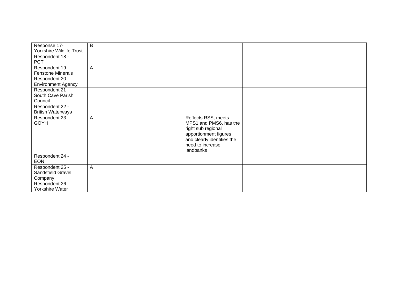| Response 17-                                    | B |                                                                                                                                                             |  |
|-------------------------------------------------|---|-------------------------------------------------------------------------------------------------------------------------------------------------------------|--|
| Yorkshire Wildlife Trust                        |   |                                                                                                                                                             |  |
| Respondent 18 -                                 |   |                                                                                                                                                             |  |
| <b>PCT</b>                                      |   |                                                                                                                                                             |  |
| Respondent 19 -                                 | Α |                                                                                                                                                             |  |
| <b>Fenstone Minerals</b>                        |   |                                                                                                                                                             |  |
| Respondent 20                                   |   |                                                                                                                                                             |  |
| <b>Environment Agency</b>                       |   |                                                                                                                                                             |  |
| Respondent 21-                                  |   |                                                                                                                                                             |  |
| South Cave Parish                               |   |                                                                                                                                                             |  |
| Council                                         |   |                                                                                                                                                             |  |
| Respondent 22 -                                 |   |                                                                                                                                                             |  |
| <b>British Waterways</b>                        |   |                                                                                                                                                             |  |
| Respondent 23 -<br><b>GOYH</b>                  | A | Reflects RSS, meets<br>MPS1 and PMS6, has the<br>right sub regional<br>apportionment figures<br>and clearly identifies the<br>need to increase<br>landbanks |  |
| Respondent 24 -<br><b>EON</b>                   |   |                                                                                                                                                             |  |
| Respondent 25 -<br>Sandsfield Gravel<br>Company | A |                                                                                                                                                             |  |
| Respondent 26 -<br>Yorkshire Water              |   |                                                                                                                                                             |  |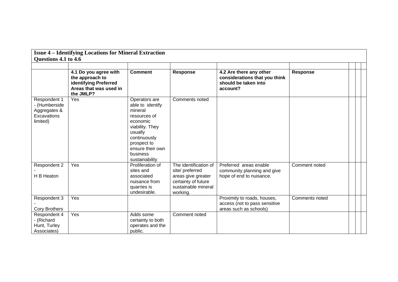|                                                                          | <b>Issue 4 - Identifying Locations for Mineral Extraction</b><br>Questions 4.1 to 4.6<br>4.2 Are there any other<br>4.1 Do you agree with<br><b>Comment</b><br><b>Response</b><br><b>Response</b><br>considerations that you think<br>the approach to<br>identifying Preferred<br>should be taken into<br>Areas that was used in<br>account?<br>the JMLP?<br>Yes<br>Operators are<br>Comments noted<br>able to identify<br>mineral<br>resources of<br>economic |                                                                                                             |                                                                                                                          |                                                                                        |                |  |  |  |  |  |  |
|--------------------------------------------------------------------------|----------------------------------------------------------------------------------------------------------------------------------------------------------------------------------------------------------------------------------------------------------------------------------------------------------------------------------------------------------------------------------------------------------------------------------------------------------------|-------------------------------------------------------------------------------------------------------------|--------------------------------------------------------------------------------------------------------------------------|----------------------------------------------------------------------------------------|----------------|--|--|--|--|--|--|
|                                                                          |                                                                                                                                                                                                                                                                                                                                                                                                                                                                |                                                                                                             |                                                                                                                          |                                                                                        |                |  |  |  |  |  |  |
|                                                                          |                                                                                                                                                                                                                                                                                                                                                                                                                                                                |                                                                                                             |                                                                                                                          |                                                                                        |                |  |  |  |  |  |  |
| Respondent 1<br>- (Humberside<br>Aggregates &<br>Excavations<br>limited) |                                                                                                                                                                                                                                                                                                                                                                                                                                                                | viability. They<br>usually<br>continuously<br>prospect to<br>ensure their own<br>business<br>sustainability |                                                                                                                          |                                                                                        |                |  |  |  |  |  |  |
| Respondent 2<br>H B Heaton                                               | $\overline{Y}$ es                                                                                                                                                                                                                                                                                                                                                                                                                                              | Proliferation of<br>sites and<br>associated<br>nuisance from<br>quarries is<br>undesirable.                 | The identification of<br>site/ preferred<br>areas give greater<br>certainty of future<br>sustainable mineral<br>working. | Preferred areas enable<br>community planning and give<br>hope of end to nuisance.      | Comment noted  |  |  |  |  |  |  |
| Respondent 3<br><b>Cory Brothers</b>                                     | Yes                                                                                                                                                                                                                                                                                                                                                                                                                                                            |                                                                                                             |                                                                                                                          | Proximity to roads, houses,<br>access (not to pass sensitive<br>areas such as schools) | Comments noted |  |  |  |  |  |  |
| Respondent 4<br>- (Richard<br>Hunt, Turley<br>Associates)                | Yes                                                                                                                                                                                                                                                                                                                                                                                                                                                            | Adds some<br>certainty to both<br>operates and the<br>public.                                               | Comment noted                                                                                                            |                                                                                        |                |  |  |  |  |  |  |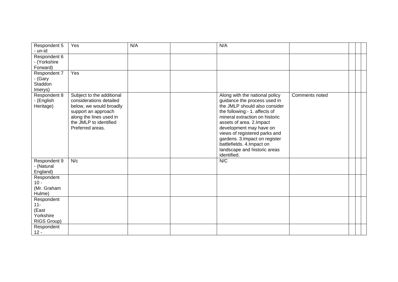| Respondent 5<br>- un-id                                   | Yes                                                                                                                                                                             | N/A | N/A                                                                                                                                                                                                                                                                                                                                                                       |                |  |
|-----------------------------------------------------------|---------------------------------------------------------------------------------------------------------------------------------------------------------------------------------|-----|---------------------------------------------------------------------------------------------------------------------------------------------------------------------------------------------------------------------------------------------------------------------------------------------------------------------------------------------------------------------------|----------------|--|
| Respondent 6<br>- (Yorkshire<br>Forward)                  |                                                                                                                                                                                 |     |                                                                                                                                                                                                                                                                                                                                                                           |                |  |
| Respondent 7<br>- (Gary<br>Staddon<br>Imerys)             | Yes                                                                                                                                                                             |     |                                                                                                                                                                                                                                                                                                                                                                           |                |  |
| Respondent 8<br>- (English<br>Heritage)                   | Subject to the additional<br>considerations detailed<br>below, we would broadly<br>support an approach<br>along the lines used in<br>the JMLP to identified<br>Preferred areas. |     | Along with the national policy<br>guidance the process used in<br>the JMLP should also consider<br>the following:- 1. affects of<br>mineral extraction on historic<br>assets of area. 2. Impact<br>development may have on<br>views of registered parks and<br>gardens. 3. Impact on register<br>battlefields. 4.Impact on<br>landscape and historic areas<br>identified. | Comments noted |  |
| Respondent 9<br>- (Natural<br>England)                    | N/c                                                                                                                                                                             |     | N/C                                                                                                                                                                                                                                                                                                                                                                       |                |  |
| Respondent<br>$10 -$<br>(Mr. Graham<br>Hulme)             |                                                                                                                                                                                 |     |                                                                                                                                                                                                                                                                                                                                                                           |                |  |
| Respondent<br>$11 -$<br>(East<br>Yorkshire<br>RIGS Group) |                                                                                                                                                                                 |     |                                                                                                                                                                                                                                                                                                                                                                           |                |  |
| Respondent<br>$12 -$                                      |                                                                                                                                                                                 |     |                                                                                                                                                                                                                                                                                                                                                                           |                |  |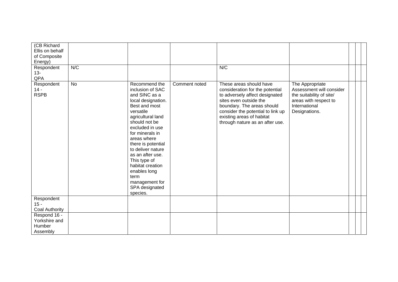| (CB Richard<br>Ellis on behalf<br>of Composite |           |                                                                                                                                                                                                                                                                                                                                                                              |               |                                                                                                                                                                                                                                                           |                                                                                                                                    |  |  |
|------------------------------------------------|-----------|------------------------------------------------------------------------------------------------------------------------------------------------------------------------------------------------------------------------------------------------------------------------------------------------------------------------------------------------------------------------------|---------------|-----------------------------------------------------------------------------------------------------------------------------------------------------------------------------------------------------------------------------------------------------------|------------------------------------------------------------------------------------------------------------------------------------|--|--|
| Energy)                                        |           |                                                                                                                                                                                                                                                                                                                                                                              |               |                                                                                                                                                                                                                                                           |                                                                                                                                    |  |  |
| Respondent<br>$13 -$<br>QPA                    | N/C       |                                                                                                                                                                                                                                                                                                                                                                              |               | N/C                                                                                                                                                                                                                                                       |                                                                                                                                    |  |  |
| Respondent<br>$14 -$<br><b>RSPB</b>            | <b>No</b> | Recommend the<br>inclusion of SAC<br>and SINC as a<br>local designation.<br>Best and most<br>versatile<br>agricultural land<br>should not be<br>excluded in use<br>for minerals in<br>areas where<br>there is potential<br>to deliver nature<br>as an after use.<br>This type of<br>habitat creation<br>enables long<br>term<br>management for<br>SPA designated<br>species. | Comment noted | These areas should have<br>consideration for the potential<br>to adversely affect designated<br>sites even outside the<br>boundary. The areas should<br>consider the potential to link up<br>existing areas of habitat<br>through nature as an after use. | The Appropriate<br>Assessment will consider<br>the suitability of site/<br>areas with respect to<br>International<br>Designations. |  |  |
| Respondent                                     |           |                                                                                                                                                                                                                                                                                                                                                                              |               |                                                                                                                                                                                                                                                           |                                                                                                                                    |  |  |
| $15 -$                                         |           |                                                                                                                                                                                                                                                                                                                                                                              |               |                                                                                                                                                                                                                                                           |                                                                                                                                    |  |  |
| Coal Authority                                 |           |                                                                                                                                                                                                                                                                                                                                                                              |               |                                                                                                                                                                                                                                                           |                                                                                                                                    |  |  |
| Respond 16 -<br>Yorkshire and<br>Humber        |           |                                                                                                                                                                                                                                                                                                                                                                              |               |                                                                                                                                                                                                                                                           |                                                                                                                                    |  |  |
| Assembly                                       |           |                                                                                                                                                                                                                                                                                                                                                                              |               |                                                                                                                                                                                                                                                           |                                                                                                                                    |  |  |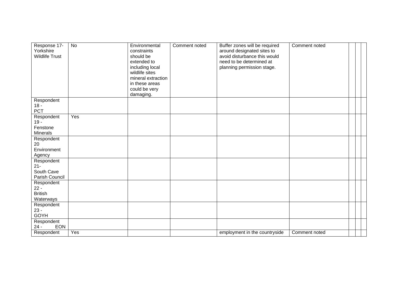| Response 17-<br>Yorkshire<br><b>Wildlife Trust</b> | <b>No</b>        | Environmental<br>constraints<br>should be<br>extended to<br>including local<br>wildlife sites<br>mineral extraction<br>in these areas<br>could be very<br>damaging. | Comment noted | Buffer zones will be required<br>around designated sites to<br>avoid disturbance this would<br>need to be determined at<br>planning permission stage. | Comment noted |  |  |
|----------------------------------------------------|------------------|---------------------------------------------------------------------------------------------------------------------------------------------------------------------|---------------|-------------------------------------------------------------------------------------------------------------------------------------------------------|---------------|--|--|
| Respondent                                         |                  |                                                                                                                                                                     |               |                                                                                                                                                       |               |  |  |
| $18 -$<br>PCT                                      |                  |                                                                                                                                                                     |               |                                                                                                                                                       |               |  |  |
| Respondent                                         | Yes              |                                                                                                                                                                     |               |                                                                                                                                                       |               |  |  |
| $19 -$                                             |                  |                                                                                                                                                                     |               |                                                                                                                                                       |               |  |  |
| Fenstone<br><b>Minerals</b>                        |                  |                                                                                                                                                                     |               |                                                                                                                                                       |               |  |  |
| Respondent                                         |                  |                                                                                                                                                                     |               |                                                                                                                                                       |               |  |  |
| 20                                                 |                  |                                                                                                                                                                     |               |                                                                                                                                                       |               |  |  |
| Environment                                        |                  |                                                                                                                                                                     |               |                                                                                                                                                       |               |  |  |
| Agency                                             |                  |                                                                                                                                                                     |               |                                                                                                                                                       |               |  |  |
| Respondent<br>$21 -$                               |                  |                                                                                                                                                                     |               |                                                                                                                                                       |               |  |  |
| South Cave                                         |                  |                                                                                                                                                                     |               |                                                                                                                                                       |               |  |  |
| Parish Council                                     |                  |                                                                                                                                                                     |               |                                                                                                                                                       |               |  |  |
| Respondent                                         |                  |                                                                                                                                                                     |               |                                                                                                                                                       |               |  |  |
| $22 -$                                             |                  |                                                                                                                                                                     |               |                                                                                                                                                       |               |  |  |
| <b>British</b><br>Waterways                        |                  |                                                                                                                                                                     |               |                                                                                                                                                       |               |  |  |
| Respondent                                         |                  |                                                                                                                                                                     |               |                                                                                                                                                       |               |  |  |
| $23 -$                                             |                  |                                                                                                                                                                     |               |                                                                                                                                                       |               |  |  |
| <b>GOYH</b>                                        |                  |                                                                                                                                                                     |               |                                                                                                                                                       |               |  |  |
| Respondent                                         |                  |                                                                                                                                                                     |               |                                                                                                                                                       |               |  |  |
| <b>EON</b><br>$24 -$                               |                  |                                                                                                                                                                     |               |                                                                                                                                                       |               |  |  |
| Respondent                                         | $\overline{Yes}$ |                                                                                                                                                                     |               | employment in the countryside                                                                                                                         | Comment noted |  |  |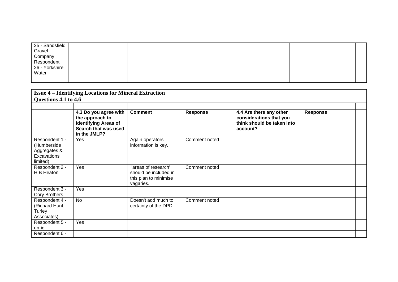| 25 - Sandsfield<br>Gravel             |  |  |  |  |
|---------------------------------------|--|--|--|--|
| Company                               |  |  |  |  |
| Respondent<br>26 - Yorkshire<br>Water |  |  |  |  |
|                                       |  |  |  |  |

|                                                                          | <b>Issue 4 – Identifying Locations for Mineral Extraction</b><br>Questions 4.1 to 4.6                    |                                                                                    |                 |                                                                                              |                 |  |  |  |  |
|--------------------------------------------------------------------------|----------------------------------------------------------------------------------------------------------|------------------------------------------------------------------------------------|-----------------|----------------------------------------------------------------------------------------------|-----------------|--|--|--|--|
|                                                                          |                                                                                                          |                                                                                    |                 |                                                                                              |                 |  |  |  |  |
|                                                                          | 4.3 Do you agree with<br>the approach to<br>identifying Areas of<br>Search that was used<br>in the JMLP? | <b>Comment</b>                                                                     | <b>Response</b> | 4.4 Are there any other<br>considerations that you<br>think should be taken into<br>account? | <b>Response</b> |  |  |  |  |
| Respondent 1 -<br>(Humberside<br>Aggregates &<br>Excavations<br>limited) | Yes                                                                                                      | Again operators<br>information is key.                                             | Comment noted   |                                                                                              |                 |  |  |  |  |
| Respondent 2 -<br>H B Heaton                                             | Yes                                                                                                      | 'areas of research'<br>should be included in<br>this plan to minimise<br>vagaries. | Comment noted   |                                                                                              |                 |  |  |  |  |
| Respondent 3 -<br>Cory Brothers                                          | Yes                                                                                                      |                                                                                    |                 |                                                                                              |                 |  |  |  |  |
| Respondent 4 -<br>(Richard Hunt,<br>Turley<br>Associates)                | No                                                                                                       | Doesn't add much to<br>certainty of the DPD                                        | Comment noted   |                                                                                              |                 |  |  |  |  |
| Respondent 5 -<br>un-id<br>Respondent 6 -                                | Yes                                                                                                      |                                                                                    |                 |                                                                                              |                 |  |  |  |  |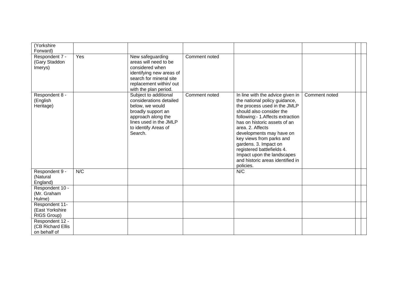| (Yorkshire<br>Forward)                               |     |                                                                                                                                                                              |               |                                                                                                                                                                                                                                                                                                                                                                                                                     |               |  |
|------------------------------------------------------|-----|------------------------------------------------------------------------------------------------------------------------------------------------------------------------------|---------------|---------------------------------------------------------------------------------------------------------------------------------------------------------------------------------------------------------------------------------------------------------------------------------------------------------------------------------------------------------------------------------------------------------------------|---------------|--|
| Respondent 7 -<br>(Gary Staddon<br>Imerys)           | Yes | New safeguarding<br>areas will need to be<br>considered when<br>identifying new areas of<br>search for mineral site<br>replacement within/ out<br>with the plan period.      | Comment noted |                                                                                                                                                                                                                                                                                                                                                                                                                     |               |  |
| Respondent 8 -<br>(English<br>Heritage)              |     | Subject to additional<br>considerations detailed<br>below, we would<br>broadly support an<br>approach along the<br>lines used in the JMLP<br>to identify Areas of<br>Search. | Comment noted | In line with the advice given in<br>the national policy guidance,<br>the process used in the JMLP<br>should also consider the<br>following:- 1.Affects extraction<br>has on historic assets of an<br>area. 2. Affects<br>developments may have on<br>key views from parks and<br>gardens. 3. Impact on<br>registered battlefields 4.<br>Impact upon the landscapes<br>and historic areas identified in<br>policies. | Comment noted |  |
| Respondent 9 -<br>(Natural<br>England)               | N/C |                                                                                                                                                                              |               | N/C                                                                                                                                                                                                                                                                                                                                                                                                                 |               |  |
| Respondent 10 -<br>(Mr. Graham<br>Hulme)             |     |                                                                                                                                                                              |               |                                                                                                                                                                                                                                                                                                                                                                                                                     |               |  |
| Respondent 11-<br>(East Yorkshire<br>RIGS Group)     |     |                                                                                                                                                                              |               |                                                                                                                                                                                                                                                                                                                                                                                                                     |               |  |
| Respondent 12 -<br>(CB Richard Ellis<br>on behalf of |     |                                                                                                                                                                              |               |                                                                                                                                                                                                                                                                                                                                                                                                                     |               |  |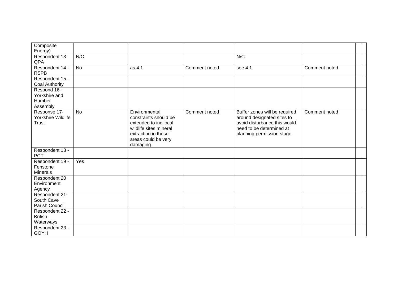| Composite<br>Energy)                                |           |                                                                                                                                                      |               |                                                                                                                                                       |               |  |
|-----------------------------------------------------|-----------|------------------------------------------------------------------------------------------------------------------------------------------------------|---------------|-------------------------------------------------------------------------------------------------------------------------------------------------------|---------------|--|
| Respondent 13-<br>QPA                               | N/C       |                                                                                                                                                      |               | N/C                                                                                                                                                   |               |  |
| Respondent 14 -<br><b>RSPB</b>                      | <b>No</b> | as 4.1                                                                                                                                               | Comment noted | see 4.1                                                                                                                                               | Comment noted |  |
| Respondent 15 -<br><b>Coal Authority</b>            |           |                                                                                                                                                      |               |                                                                                                                                                       |               |  |
| Respond 16 -<br>Yorkshire and<br>Humber<br>Assembly |           |                                                                                                                                                      |               |                                                                                                                                                       |               |  |
| Response 17-<br>Yorkshire Wildlife<br><b>Trust</b>  | <b>No</b> | Environmental<br>constraints should be<br>extended to inc local<br>wildlife sites mineral<br>extraction in these<br>areas could be very<br>damaging. | Comment noted | Buffer zones will be required<br>around designated sites to<br>avoid disturbance this would<br>need to be determined at<br>planning permission stage. | Comment noted |  |
| Respondent 18 -<br><b>PCT</b>                       |           |                                                                                                                                                      |               |                                                                                                                                                       |               |  |
| Respondent 19 -<br>Fenstone<br><b>Minerals</b>      | Yes       |                                                                                                                                                      |               |                                                                                                                                                       |               |  |
| Respondent 20<br>Environment<br>Agency              |           |                                                                                                                                                      |               |                                                                                                                                                       |               |  |
| Respondent 21-<br>South Cave<br>Parish Council      |           |                                                                                                                                                      |               |                                                                                                                                                       |               |  |
| Respondent 22 -<br><b>British</b><br>Waterways      |           |                                                                                                                                                      |               |                                                                                                                                                       |               |  |
| Respondent 23 -<br><b>GOYH</b>                      |           |                                                                                                                                                      |               |                                                                                                                                                       |               |  |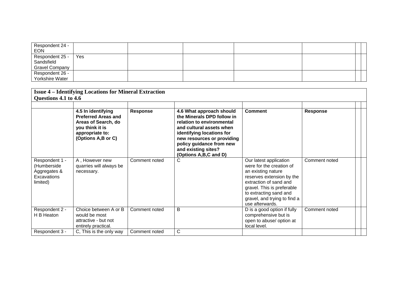| Respondent 24 -<br><b>EON</b>       |     |  |  |  |
|-------------------------------------|-----|--|--|--|
| Respondent 25 -                     | Yes |  |  |  |
| Sandsfield<br><b>Gravel Company</b> |     |  |  |  |
| Respondent 26 -                     |     |  |  |  |
| Yorkshire Water                     |     |  |  |  |

| <b>Issue 4 – Identifying Locations for Mineral Extraction</b><br>Questions 4.1 to 4.6 |                                                                                                                                     |                 |                                                                                                                                                                                                                                                        |                                                                                                                                                                                                                                            |               |  |  |  |
|---------------------------------------------------------------------------------------|-------------------------------------------------------------------------------------------------------------------------------------|-----------------|--------------------------------------------------------------------------------------------------------------------------------------------------------------------------------------------------------------------------------------------------------|--------------------------------------------------------------------------------------------------------------------------------------------------------------------------------------------------------------------------------------------|---------------|--|--|--|
|                                                                                       | 4.5 In identifying<br><b>Preferred Areas and</b><br>Areas of Search, do<br>you think it is<br>appropriate to:<br>(Options A,B or C) | <b>Response</b> | 4.6 What approach should<br>the Minerals DPD follow in<br>relation to environmental<br>and cultural assets when<br>identifying locations for<br>new resources or providing<br>policy guidance from new<br>and existing sites?<br>(Options A,B,C and D) | <b>Comment</b>                                                                                                                                                                                                                             | Response      |  |  |  |
| Respondent 1 -<br>(Humberside<br>Aggregates &<br>Excavations<br>limited)              | A, However new<br>quarries will always be<br>necessary.                                                                             | Comment noted   | C                                                                                                                                                                                                                                                      | Our latest application<br>were for the creation of<br>an existing nature<br>reserves extension by the<br>extraction of sand and<br>gravel. This is preferable<br>to extracting sand and<br>gravel, and trying to find a<br>use afterwards. | Comment noted |  |  |  |
| Respondent 2 -<br>H B Heaton                                                          | Choice between A or B<br>would be most<br>attractive - but not<br>entirely practical.                                               | Comment noted   | B                                                                                                                                                                                                                                                      | D is a good option if fully<br>comprehensive but is<br>open to abuse/ option at<br>local level.                                                                                                                                            | Comment noted |  |  |  |
| Respondent 3 -                                                                        | C, This is the only way                                                                                                             | Comment noted   | $\mathsf{C}$                                                                                                                                                                                                                                           |                                                                                                                                                                                                                                            |               |  |  |  |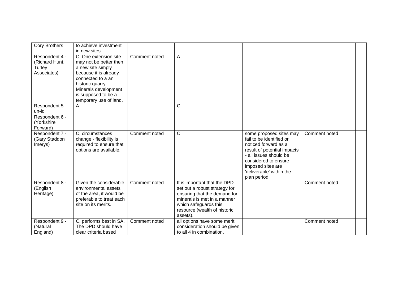| <b>Cory Brothers</b>                                      | to achieve investment<br>in new sites.                                                                                                                                                                          |               |                                                                                                                                                                                                   |                                                                                                                                                                                                                               |               |  |
|-----------------------------------------------------------|-----------------------------------------------------------------------------------------------------------------------------------------------------------------------------------------------------------------|---------------|---------------------------------------------------------------------------------------------------------------------------------------------------------------------------------------------------|-------------------------------------------------------------------------------------------------------------------------------------------------------------------------------------------------------------------------------|---------------|--|
| Respondent 4 -<br>(Richard Hunt,<br>Turley<br>Associates) | C, One extension site<br>may not be better then<br>a new site simply<br>because it is already<br>connected to a an<br>historic quarry.<br>Minerals development<br>is supposed to be a<br>temporary use of land. | Comment noted | A                                                                                                                                                                                                 |                                                                                                                                                                                                                               |               |  |
| Respondent 5 -<br>un-id                                   | A                                                                                                                                                                                                               |               | C                                                                                                                                                                                                 |                                                                                                                                                                                                                               |               |  |
| Respondent 6 -<br>(Yorkshire<br>Forward)                  |                                                                                                                                                                                                                 |               |                                                                                                                                                                                                   |                                                                                                                                                                                                                               |               |  |
| Respondent 7 -<br>(Gary Staddon<br>Imerys)                | C, circumstances<br>change - flexibility is<br>required to ensure that<br>options are available.                                                                                                                | Comment noted | C                                                                                                                                                                                                 | some proposed sites may<br>fail to be identified or<br>noticed forward as a<br>result of potential impacts<br>- all issues should be<br>considered to ensure<br>imposed sites are<br>'deliverable' within the<br>plan period. | Comment noted |  |
| Respondent 8 -<br>(English<br>Heritage)                   | Given the considerable<br>environmental assets<br>of the area, it would be<br>preferable to treat each<br>site on its merits.                                                                                   | Comment noted | It is important that the DPD<br>set out a robust strategy for<br>ensuring that the demand for<br>minerals is met in a manner<br>which safeguards this<br>resource (wealth of historic<br>assets). |                                                                                                                                                                                                                               | Comment noted |  |
| Respondent 9 -<br>(Natural<br>England)                    | C. performs best in SA.<br>The DPD should have<br>clear criteria based                                                                                                                                          | Comment noted | all options have some merit<br>consideration should be given<br>to all 4 in combination.                                                                                                          |                                                                                                                                                                                                                               | Comment noted |  |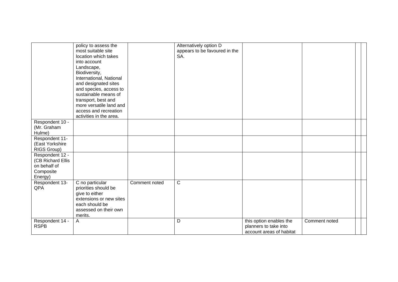|                                                                              | policy to assess the<br>most suitable site<br>location which takes<br>into account<br>Landscape,<br>Biodiversity,<br>International, National<br>and designated sites<br>and species, access to<br>sustainable means of<br>transport, best and<br>more versatile land and<br>access and recreation<br>activities in the area. |               | Alternatively option D<br>appears to be favoured in the<br>SA. |                                                                              |               |  |
|------------------------------------------------------------------------------|------------------------------------------------------------------------------------------------------------------------------------------------------------------------------------------------------------------------------------------------------------------------------------------------------------------------------|---------------|----------------------------------------------------------------|------------------------------------------------------------------------------|---------------|--|
| Respondent 10 -<br>(Mr. Graham<br>Hulme)                                     |                                                                                                                                                                                                                                                                                                                              |               |                                                                |                                                                              |               |  |
| Respondent 11-<br>(East Yorkshire<br>RIGS Group)                             |                                                                                                                                                                                                                                                                                                                              |               |                                                                |                                                                              |               |  |
| Respondent 12 -<br>(CB Richard Ellis<br>on behalf of<br>Composite<br>Energy) |                                                                                                                                                                                                                                                                                                                              |               |                                                                |                                                                              |               |  |
| Respondent 13-<br>QPA                                                        | C no particular<br>priorities should be<br>give to either<br>extensions or new sites<br>each should be<br>assessed on their own<br>merits.                                                                                                                                                                                   | Comment noted | $\mathsf{C}$                                                   |                                                                              |               |  |
| Respondent 14 -<br><b>RSPB</b>                                               | $\mathsf{A}$                                                                                                                                                                                                                                                                                                                 |               | D                                                              | this option enables the<br>planners to take into<br>account areas of habitat | Comment noted |  |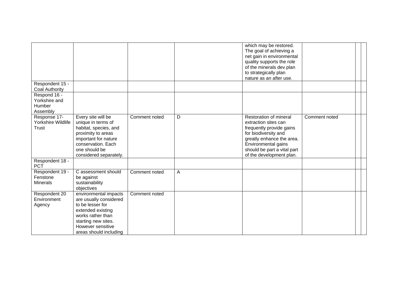|                                                     |                                                                                                                                                                                     |               |   | which may be restored.<br>The goal of achieving a<br>net gain in environmental<br>quality supports the role<br>of the minerals dev plan<br>to strategically plan<br>nature as an after use.                       |               |  |
|-----------------------------------------------------|-------------------------------------------------------------------------------------------------------------------------------------------------------------------------------------|---------------|---|-------------------------------------------------------------------------------------------------------------------------------------------------------------------------------------------------------------------|---------------|--|
| Respondent 15 -<br><b>Coal Authority</b>            |                                                                                                                                                                                     |               |   |                                                                                                                                                                                                                   |               |  |
| Respond 16 -<br>Yorkshire and<br>Humber<br>Assembly |                                                                                                                                                                                     |               |   |                                                                                                                                                                                                                   |               |  |
| Response 17-<br>Yorkshire Wildlife<br>Trust         | Every site will be<br>unique in terms of<br>habitat, species, and<br>proximity to areas<br>important for nature<br>conservation. Each<br>one should be<br>considered separately.    | Comment noted | D | Restoration of mineral<br>extraction sites can<br>frequently provide gains<br>for biodiversity and<br>greatly enhance the area.<br>Environmental gains<br>should be part a vital part<br>of the development plan. | Comment noted |  |
| Respondent 18 -<br><b>PCT</b>                       |                                                                                                                                                                                     |               |   |                                                                                                                                                                                                                   |               |  |
| Respondent 19 -<br>Fenstone<br><b>Minerals</b>      | C assessment should<br>be against<br>sustainability<br>objectives                                                                                                                   | Comment noted | A |                                                                                                                                                                                                                   |               |  |
| Respondent 20<br>Environment<br>Agency              | environmental impacts<br>are usually considered<br>to be lesser for<br>extended existing<br>works rather than<br>starting new sites.<br>However sensitive<br>areas should including | Comment noted |   |                                                                                                                                                                                                                   |               |  |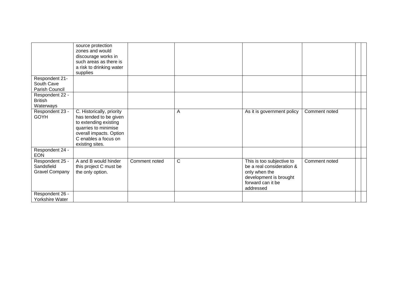|                                                        | source protection<br>zones and would<br>discourage works in<br>such areas as there is<br>a risk to drinking water<br>supplies                                              |               |   |                                                                                                                                     |               |
|--------------------------------------------------------|----------------------------------------------------------------------------------------------------------------------------------------------------------------------------|---------------|---|-------------------------------------------------------------------------------------------------------------------------------------|---------------|
| Respondent 21-<br>South Cave<br>Parish Council         |                                                                                                                                                                            |               |   |                                                                                                                                     |               |
| Respondent 22 -<br><b>British</b><br>Waterways         |                                                                                                                                                                            |               |   |                                                                                                                                     |               |
| Respondent 23 -<br><b>GOYH</b>                         | C. Historically, priority<br>has tended to be given<br>to extending existing<br>quarries to minimise<br>overall impacts. Option<br>C enables a focus on<br>existing sites. |               | A | As it is government policy                                                                                                          | Comment noted |
| Respondent 24 -<br><b>EON</b>                          |                                                                                                                                                                            |               |   |                                                                                                                                     |               |
| Respondent 25 -<br>Sandsfield<br><b>Gravel Company</b> | A and B would hinder<br>this project C must be<br>the only option.                                                                                                         | Comment noted | C | This is too subjective to<br>be a real consideration &<br>only when the<br>development is brought<br>forward can it be<br>addressed | Comment noted |
| Respondent 26 -<br>Yorkshire Water                     |                                                                                                                                                                            |               |   |                                                                                                                                     |               |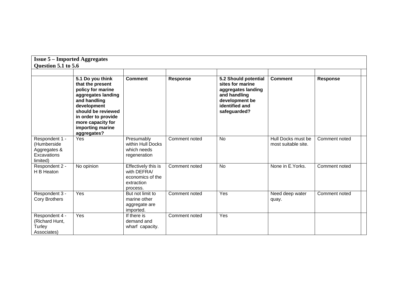| <b>Issue 5 - Imported Aggregates</b>                                     |                                                                                                                                                                                                                     |                                                                                  |                 |                                                                                                                                    |                                           |                 |  |  |  |
|--------------------------------------------------------------------------|---------------------------------------------------------------------------------------------------------------------------------------------------------------------------------------------------------------------|----------------------------------------------------------------------------------|-----------------|------------------------------------------------------------------------------------------------------------------------------------|-------------------------------------------|-----------------|--|--|--|
| Question 5.1 to 5.6                                                      |                                                                                                                                                                                                                     |                                                                                  |                 |                                                                                                                                    |                                           |                 |  |  |  |
|                                                                          | 5.1 Do you think<br>that the present<br>policy for marine<br>aggregates landing<br>and handling<br>development<br>should be reviewed<br>in order to provide<br>more capacity for<br>importing marine<br>aggregates? | <b>Comment</b>                                                                   | <b>Response</b> | 5.2 Should potential<br>sites for marine<br>aggregates landing<br>and handling<br>development be<br>identified and<br>safeguarded? | <b>Comment</b>                            | <b>Response</b> |  |  |  |
| Respondent 1 -<br>(Humberside<br>Aggregates &<br>Excavations<br>limited) | Yes                                                                                                                                                                                                                 | Presumably<br>within Hull Docks<br>which needs<br>regeneration                   | Comment noted   | <b>No</b>                                                                                                                          | Hull Docks must be<br>most suitable site. | Comment noted   |  |  |  |
| Respondent 2 -<br>H B Heaton                                             | No opinion                                                                                                                                                                                                          | Effectively this is<br>with DEFRA/<br>economics of the<br>extraction<br>process. | Comment noted   | <b>No</b>                                                                                                                          | None in E. Yorks.                         | Comment noted   |  |  |  |
| Respondent 3 -<br><b>Cory Brothers</b>                                   | Yes                                                                                                                                                                                                                 | But not limit to<br>marine other<br>aggregate are<br>imported.                   | Comment noted   | Yes                                                                                                                                | Need deep water<br>quay.                  | Comment noted   |  |  |  |
| Respondent 4 -<br>(Richard Hunt,<br>Turley<br>Associates)                | Yes                                                                                                                                                                                                                 | If there is<br>demand and<br>wharf capacity.                                     | Comment noted   | Yes                                                                                                                                |                                           |                 |  |  |  |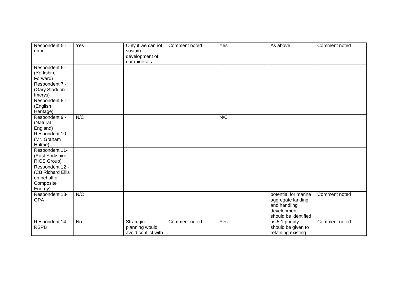| Respondent 5 -<br>un-id                                                      | Yes | Only if we cannot<br>sustain<br>development of<br>our minerals. | Comment noted | Yes | As above.                                                                                        | Comment noted |
|------------------------------------------------------------------------------|-----|-----------------------------------------------------------------|---------------|-----|--------------------------------------------------------------------------------------------------|---------------|
| Respondent 6 -<br>(Yorkshire<br>Forward)                                     |     |                                                                 |               |     |                                                                                                  |               |
| Respondent 7 -<br>(Gary Staddon<br>Imerys)                                   |     |                                                                 |               |     |                                                                                                  |               |
| Respondent 8 -<br>(English<br>Heritage)                                      |     |                                                                 |               |     |                                                                                                  |               |
| Respondent 9 -<br>(Natural<br>England)                                       | N/C |                                                                 |               | N/C |                                                                                                  |               |
| Respondent 10 -<br>(Mr. Graham<br>Hulme)                                     |     |                                                                 |               |     |                                                                                                  |               |
| Respondent 11-<br>(East Yorkshire<br>RIGS Group)                             |     |                                                                 |               |     |                                                                                                  |               |
| Respondent 12 -<br>(CB Richard Ellis<br>on behalf of<br>Composite<br>Energy) |     |                                                                 |               |     |                                                                                                  |               |
| Respondent 13-<br>QPA                                                        | N/C |                                                                 |               |     | potential for marine<br>aggregate landing<br>and handling<br>development<br>should be identified | Comment noted |
| Respondent 14 -<br><b>RSPB</b>                                               | No  | Strategic<br>planning would<br>avoid conflict with              | Comment noted | Yes | as 5.1 priority<br>should be given to<br>retaining existing                                      | Comment noted |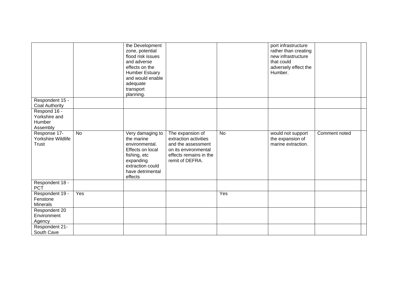|                                                     |           | the Development<br>zone, potential<br>flood risk issues<br>and adverse<br>effects on the<br><b>Humber Estuary</b><br>and would enable<br>adequate<br>transport<br>planning. |                                                                                                                                      |           | port infrastructure<br>rather than creating<br>new infrastructure<br>that could<br>adversely effect the<br>Humber. |               |  |
|-----------------------------------------------------|-----------|-----------------------------------------------------------------------------------------------------------------------------------------------------------------------------|--------------------------------------------------------------------------------------------------------------------------------------|-----------|--------------------------------------------------------------------------------------------------------------------|---------------|--|
| Respondent 15 -<br><b>Coal Authority</b>            |           |                                                                                                                                                                             |                                                                                                                                      |           |                                                                                                                    |               |  |
| Respond 16 -<br>Yorkshire and<br>Humber<br>Assembly |           |                                                                                                                                                                             |                                                                                                                                      |           |                                                                                                                    |               |  |
| Response 17-<br>Yorkshire Wildlife<br><b>Trust</b>  | <b>No</b> | Very damaging to<br>the marine<br>environmental.<br>Effects on local<br>fishing, etc<br>expanding<br>extraction could<br>have detrimental<br>effects                        | The expansion of<br>extraction activities<br>and the assessment<br>on its environmental<br>effects remains in the<br>remit of DEFRA. | <b>No</b> | would not support<br>the expansion of<br>marine extraction.                                                        | Comment noted |  |
| Respondent 18 -<br><b>PCT</b>                       |           |                                                                                                                                                                             |                                                                                                                                      |           |                                                                                                                    |               |  |
| Respondent 19 -<br>Fenstone<br><b>Minerals</b>      | Yes       |                                                                                                                                                                             |                                                                                                                                      | Yes       |                                                                                                                    |               |  |
| Respondent 20<br>Environment<br>Agency              |           |                                                                                                                                                                             |                                                                                                                                      |           |                                                                                                                    |               |  |
| Respondent 21-<br>South Cave                        |           |                                                                                                                                                                             |                                                                                                                                      |           |                                                                                                                    |               |  |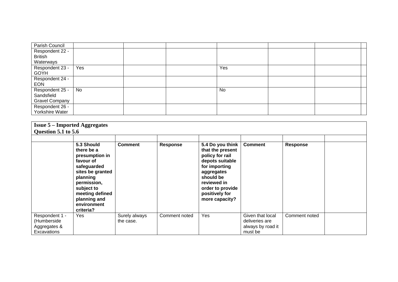| Parish Council        |     |  |     |  |
|-----------------------|-----|--|-----|--|
| Respondent 22 -       |     |  |     |  |
| <b>British</b>        |     |  |     |  |
| Waterways             |     |  |     |  |
| Respondent 23 -       | Yes |  | Yes |  |
| <b>GOYH</b>           |     |  |     |  |
| Respondent 24 -       |     |  |     |  |
| <b>EON</b>            |     |  |     |  |
| Respondent 25 -       | No  |  | No  |  |
| Sandsfield            |     |  |     |  |
| <b>Gravel Company</b> |     |  |     |  |
| Respondent 26 -       |     |  |     |  |
| Yorkshire Water       |     |  |     |  |

| <b>Issue 5 – Imported Aggregates</b><br>Question 5.1 to 5.6  |                                                                                                                                                                                                    |                            |                 |                                                                                                                                                                                               |                                                                    |                 |  |
|--------------------------------------------------------------|----------------------------------------------------------------------------------------------------------------------------------------------------------------------------------------------------|----------------------------|-----------------|-----------------------------------------------------------------------------------------------------------------------------------------------------------------------------------------------|--------------------------------------------------------------------|-----------------|--|
|                                                              | 5.3 Should<br>there be a<br>presumption in<br>favour of<br>safeguarded<br>sites be granted<br>planning<br>permission,<br>subject to<br>meeting defined<br>planning and<br>environment<br>criteria? | <b>Comment</b>             | <b>Response</b> | 5.4 Do you think<br>that the present<br>policy for rail<br>depots suitable<br>for importing<br>aggregates<br>should be<br>reviewed in<br>order to provide<br>positively for<br>more capacity? | <b>Comment</b>                                                     | <b>Response</b> |  |
| Respondent 1 -<br>(Humberside<br>Aggregates &<br>Excavations | <b>Yes</b>                                                                                                                                                                                         | Surely always<br>the case. | Comment noted   | Yes                                                                                                                                                                                           | Given that local<br>deliveries are<br>always by road it<br>must be | Comment noted   |  |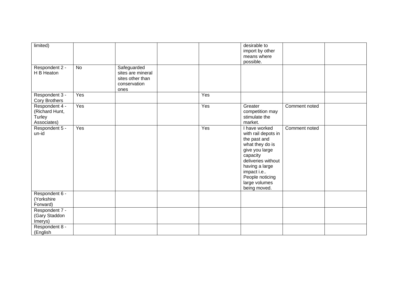| limited)<br>Respondent 2 -<br>H B Heaton                  | No  | Safeguarded<br>sites are mineral<br>sites other than<br>conservation<br>ones |     | desirable to<br>import by other<br>means where<br>possible.                                                                                                                                                     |               |  |
|-----------------------------------------------------------|-----|------------------------------------------------------------------------------|-----|-----------------------------------------------------------------------------------------------------------------------------------------------------------------------------------------------------------------|---------------|--|
| Respondent 3 -<br><b>Cory Brothers</b>                    | Yes |                                                                              | Yes |                                                                                                                                                                                                                 |               |  |
| Respondent 4 -<br>(Richard Hunt,<br>Turley<br>Associates) | Yes |                                                                              | Yes | Greater<br>competition may<br>stimulate the<br>market.                                                                                                                                                          | Comment noted |  |
| Respondent 5 -<br>un-id                                   | Yes |                                                                              | Yes | I have worked<br>with rail depots in<br>the past and<br>what they do is<br>give you large<br>capacity<br>deliveries without<br>having a large<br>impact i.e<br>People noticing<br>large volumes<br>being moved. | Comment noted |  |
| Respondent 6 -<br>(Yorkshire<br>Forward)                  |     |                                                                              |     |                                                                                                                                                                                                                 |               |  |
| Respondent 7 -<br>(Gary Staddon<br>Imerys)                |     |                                                                              |     |                                                                                                                                                                                                                 |               |  |
| Respondent 8 -<br>(English                                |     |                                                                              |     |                                                                                                                                                                                                                 |               |  |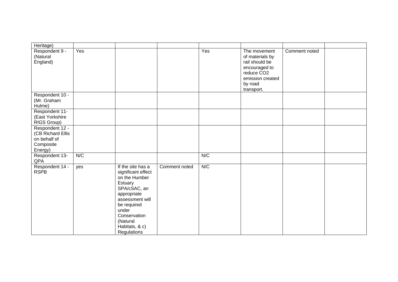| Heritage)                                        |     |                                                                                                                                                                                                            |               |     |                                                                                                                                           |               |  |
|--------------------------------------------------|-----|------------------------------------------------------------------------------------------------------------------------------------------------------------------------------------------------------------|---------------|-----|-------------------------------------------------------------------------------------------------------------------------------------------|---------------|--|
| Respondent 9 -<br>(Natural<br>England)           | Yes |                                                                                                                                                                                                            |               | Yes | The movement<br>of materials by<br>rail should be<br>encouraged to<br>reduce CO <sub>2</sub><br>emission created<br>by road<br>transport. | Comment noted |  |
| Respondent 10 -                                  |     |                                                                                                                                                                                                            |               |     |                                                                                                                                           |               |  |
| (Mr. Graham                                      |     |                                                                                                                                                                                                            |               |     |                                                                                                                                           |               |  |
| Hulme)                                           |     |                                                                                                                                                                                                            |               |     |                                                                                                                                           |               |  |
| Respondent 11-<br>(East Yorkshire<br>RIGS Group) |     |                                                                                                                                                                                                            |               |     |                                                                                                                                           |               |  |
| Respondent 12 -                                  |     |                                                                                                                                                                                                            |               |     |                                                                                                                                           |               |  |
| (CB Richard Ellis                                |     |                                                                                                                                                                                                            |               |     |                                                                                                                                           |               |  |
| on behalf of                                     |     |                                                                                                                                                                                                            |               |     |                                                                                                                                           |               |  |
| Composite                                        |     |                                                                                                                                                                                                            |               |     |                                                                                                                                           |               |  |
| Energy)<br>Respondent 13-                        | N/C |                                                                                                                                                                                                            |               | N/C |                                                                                                                                           |               |  |
| QPA                                              |     |                                                                                                                                                                                                            |               |     |                                                                                                                                           |               |  |
| Respondent 14 -<br><b>RSPB</b>                   | yes | If the site has a<br>significant effect<br>on the Humber<br>Estuary<br>SPA/cSAC, an<br>appropriate<br>assessment will<br>be required<br>under<br>Conservation<br>(Natural<br>Habitats, & c)<br>Regulations | Comment noted | N/C |                                                                                                                                           |               |  |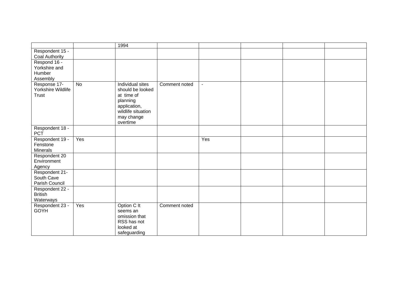|                    |     | 1994               |               |                |  |  |
|--------------------|-----|--------------------|---------------|----------------|--|--|
| Respondent 15 -    |     |                    |               |                |  |  |
| Coal Authority     |     |                    |               |                |  |  |
| Respond 16 -       |     |                    |               |                |  |  |
| Yorkshire and      |     |                    |               |                |  |  |
| <b>Humber</b>      |     |                    |               |                |  |  |
| Assembly           |     |                    |               |                |  |  |
| Response 17-       | No  | Individual sites   | Comment noted | $\blacksquare$ |  |  |
| Yorkshire Wildlife |     | should be looked   |               |                |  |  |
| <b>Trust</b>       |     | at time of         |               |                |  |  |
|                    |     | planning           |               |                |  |  |
|                    |     | application,       |               |                |  |  |
|                    |     | wildlife situation |               |                |  |  |
|                    |     | may change         |               |                |  |  |
|                    |     | overtime           |               |                |  |  |
| Respondent 18 -    |     |                    |               |                |  |  |
| <b>PCT</b>         |     |                    |               |                |  |  |
| Respondent 19 -    | Yes |                    |               | Yes            |  |  |
| Fenstone           |     |                    |               |                |  |  |
| Minerals           |     |                    |               |                |  |  |
| Respondent 20      |     |                    |               |                |  |  |
| Environment        |     |                    |               |                |  |  |
| Agency             |     |                    |               |                |  |  |
| Respondent 21-     |     |                    |               |                |  |  |
| South Cave         |     |                    |               |                |  |  |
| Parish Council     |     |                    |               |                |  |  |
| Respondent 22 -    |     |                    |               |                |  |  |
| <b>British</b>     |     |                    |               |                |  |  |
| Waterways          |     |                    |               |                |  |  |
| Respondent 23 -    | Yes | Option C It        | Comment noted |                |  |  |
| <b>GOYH</b>        |     | seems an           |               |                |  |  |
|                    |     | omission that      |               |                |  |  |
|                    |     | RSS has not        |               |                |  |  |
|                    |     | looked at          |               |                |  |  |
|                    |     | safeguarding       |               |                |  |  |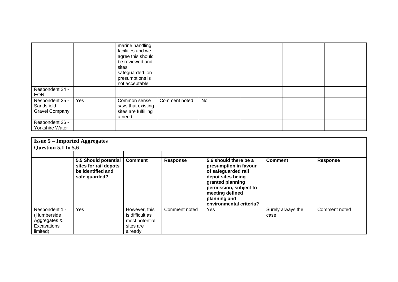|                                                 |     | marine handling<br>facilities and we<br>agree this should<br>be reviewed and<br>sites<br>safeguarded. on<br>presumptions is<br>not acceptable |               |    |  |  |
|-------------------------------------------------|-----|-----------------------------------------------------------------------------------------------------------------------------------------------|---------------|----|--|--|
| Respondent 24 -<br><b>EON</b>                   |     |                                                                                                                                               |               |    |  |  |
| Respondent 25 -<br>Sandsfield<br>Gravel Company | Yes | Common sense<br>says that existing<br>sites are fulfilling<br>a need                                                                          | Comment noted | No |  |  |
| Respondent 26 -<br>Yorkshire Water              |     |                                                                                                                                               |               |    |  |  |

|                                                                          | <b>Issue 5 – Imported Aggregates</b><br>Question 5.1 to 5.6                         |                                                                            |                 |                                                                                                                                                                                                        |                           |                 |  |  |  |  |  |
|--------------------------------------------------------------------------|-------------------------------------------------------------------------------------|----------------------------------------------------------------------------|-----------------|--------------------------------------------------------------------------------------------------------------------------------------------------------------------------------------------------------|---------------------------|-----------------|--|--|--|--|--|
|                                                                          | 5.5 Should potential<br>sites for rail depots<br>be identified and<br>safe guarded? | <b>Comment</b>                                                             | <b>Response</b> | 5.6 should there be a<br>presumption in favour<br>of safeguarded rail<br>depot sites being<br>granted planning<br>permission, subject to<br>meeting defined<br>planning and<br>environmental criteria? | <b>Comment</b>            | <b>Response</b> |  |  |  |  |  |
| Respondent 1 -<br>(Humberside<br>Aggregates &<br>Excavations<br>limited) | Yes                                                                                 | However, this<br>is difficult as<br>most potential<br>sites are<br>already | Comment noted   | Yes                                                                                                                                                                                                    | Surely always the<br>case | Comment noted   |  |  |  |  |  |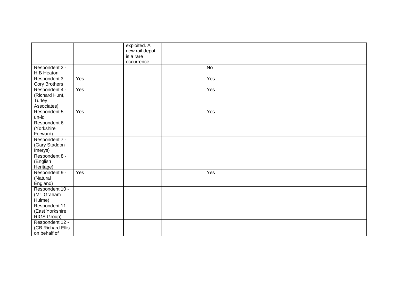|                      |     | exploited. A   |           |  |
|----------------------|-----|----------------|-----------|--|
|                      |     | new rail depot |           |  |
|                      |     | is a rare      |           |  |
|                      |     | occurrence.    |           |  |
| Respondent 2 -       |     |                | <b>No</b> |  |
| H B Heaton           |     |                |           |  |
| Respondent 3 -       | Yes |                | Yes       |  |
| Cory Brothers        |     |                |           |  |
| Respondent 4 -       | Yes |                | Yes       |  |
| (Richard Hunt,       |     |                |           |  |
| Turley               |     |                |           |  |
| Associates)          |     |                |           |  |
| Respondent 5 -       | Yes |                | Yes       |  |
| un-id                |     |                |           |  |
| Respondent 6 -       |     |                |           |  |
| (Yorkshire           |     |                |           |  |
| Forward)             |     |                |           |  |
| Respondent 7 -       |     |                |           |  |
| (Gary Staddon        |     |                |           |  |
| Imerys)              |     |                |           |  |
| Respondent 8 -       |     |                |           |  |
| (English             |     |                |           |  |
| Heritage)            | Yes |                | Yes       |  |
| Respondent 9 -       |     |                |           |  |
| (Natural<br>England) |     |                |           |  |
| Respondent 10 -      |     |                |           |  |
| (Mr. Graham          |     |                |           |  |
| Hulme)               |     |                |           |  |
| Respondent 11-       |     |                |           |  |
| (East Yorkshire      |     |                |           |  |
| RIGS Group)          |     |                |           |  |
| Respondent 12 -      |     |                |           |  |
| (CB Richard Ellis    |     |                |           |  |
| on behalf of         |     |                |           |  |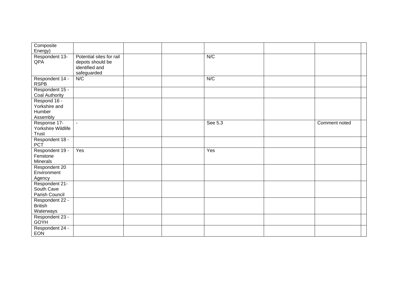| Composite             |                          |  |         |               |
|-----------------------|--------------------------|--|---------|---------------|
| Energy)               |                          |  |         |               |
| Respondent 13-        | Potential sites for rail |  | N/C     |               |
| QPA                   | depots should be         |  |         |               |
|                       | identified and           |  |         |               |
|                       | safeguarded              |  |         |               |
| Respondent 14 -       | N/C                      |  | N/C     |               |
| <b>RSPB</b>           |                          |  |         |               |
| Respondent 15 -       |                          |  |         |               |
| <b>Coal Authority</b> |                          |  |         |               |
| Respond 16 -          |                          |  |         |               |
| Yorkshire and         |                          |  |         |               |
| Humber                |                          |  |         |               |
| Assembly              |                          |  |         |               |
| Response 17-          | $\sim$                   |  | See 5.3 | Comment noted |
| Yorkshire Wildlife    |                          |  |         |               |
| <b>Trust</b>          |                          |  |         |               |
| Respondent 18 -       |                          |  |         |               |
| <b>PCT</b>            |                          |  |         |               |
| Respondent 19 -       | Yes                      |  | Yes     |               |
| Fenstone              |                          |  |         |               |
| <b>Minerals</b>       |                          |  |         |               |
| Respondent 20         |                          |  |         |               |
| Environment           |                          |  |         |               |
| Agency                |                          |  |         |               |
| Respondent 21-        |                          |  |         |               |
| South Cave            |                          |  |         |               |
| Parish Council        |                          |  |         |               |
| Respondent 22 -       |                          |  |         |               |
| <b>British</b>        |                          |  |         |               |
| Waterways             |                          |  |         |               |
| Respondent 23 -       |                          |  |         |               |
| GOYH                  |                          |  |         |               |
| Respondent 24 -       |                          |  |         |               |
| <b>EON</b>            |                          |  |         |               |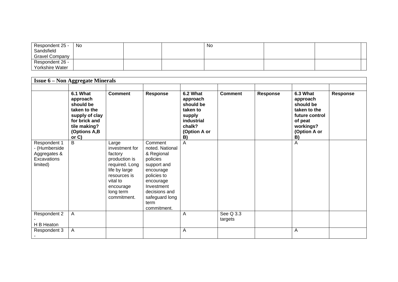| Respondent 25 -       | No |  | No |  |  |
|-----------------------|----|--|----|--|--|
| Sandsfield            |    |  |    |  |  |
| <b>Gravel Company</b> |    |  |    |  |  |
| Respondent 26 -       |    |  |    |  |  |
| Yorkshire Water       |    |  |    |  |  |

| <b>Issue 6 – Non Aggregate Minerals</b>                                  |                                                                                                                                  |                                                                                                                                                             |                                                                                                                                                                                      |                                                                                                              |                      |          |                                                                                                                   |          |  |  |
|--------------------------------------------------------------------------|----------------------------------------------------------------------------------------------------------------------------------|-------------------------------------------------------------------------------------------------------------------------------------------------------------|--------------------------------------------------------------------------------------------------------------------------------------------------------------------------------------|--------------------------------------------------------------------------------------------------------------|----------------------|----------|-------------------------------------------------------------------------------------------------------------------|----------|--|--|
|                                                                          | 6.1 What<br>approach<br>should be<br>taken to the<br>supply of clay<br>for brick and<br>tile making?<br>(Options A,B<br>or $C$ ) | <b>Comment</b>                                                                                                                                              | Response                                                                                                                                                                             | 6.2 What<br>approach<br>should be<br>taken to<br>supply<br><b>industrial</b><br>chalk?<br>(Option A or<br>B) | <b>Comment</b>       | Response | 6.3 What<br>approach<br>should be<br>taken to the<br>future control<br>of peat<br>workings?<br>(Option A or<br>B) | Response |  |  |
| Respondent 1<br>- (Humberside<br>Aggregates &<br>Excavations<br>limited) | B                                                                                                                                | Large<br>investment for<br>factory<br>production is<br>required. Long<br>life by large<br>resources is<br>vital to<br>encourage<br>long term<br>commitment. | Comment<br>noted. National<br>& Regional<br>policies<br>support and<br>encourage<br>policies to<br>encourage<br>Investment<br>decisions and<br>safeguard long<br>term<br>commitment. | A                                                                                                            |                      |          | Α                                                                                                                 |          |  |  |
| Respondent 2<br>H B Heaton                                               | $\mathsf{A}$                                                                                                                     |                                                                                                                                                             |                                                                                                                                                                                      | Α                                                                                                            | See Q 3.3<br>targets |          |                                                                                                                   |          |  |  |
| Respondent 3                                                             | A                                                                                                                                |                                                                                                                                                             |                                                                                                                                                                                      | Α                                                                                                            |                      |          | A                                                                                                                 |          |  |  |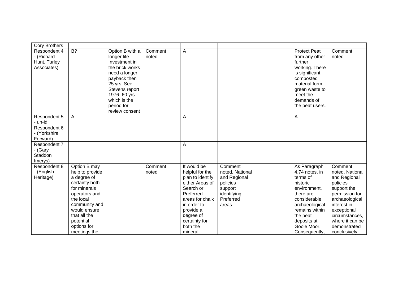| <b>Cory Brothers</b>                                      |                                                                                                                                                                                                             |                                                                                                                                                                                                      |                  |                                                                                                                                                                                                     |                                                                                                         |                                                                                                                                                                                                    |                                                                                                                                                                                                              |
|-----------------------------------------------------------|-------------------------------------------------------------------------------------------------------------------------------------------------------------------------------------------------------------|------------------------------------------------------------------------------------------------------------------------------------------------------------------------------------------------------|------------------|-----------------------------------------------------------------------------------------------------------------------------------------------------------------------------------------------------|---------------------------------------------------------------------------------------------------------|----------------------------------------------------------------------------------------------------------------------------------------------------------------------------------------------------|--------------------------------------------------------------------------------------------------------------------------------------------------------------------------------------------------------------|
| Respondent 4<br>- (Richard<br>Hunt, Turley<br>Associates) | B?                                                                                                                                                                                                          | Option B with a<br>longer life.<br>Investment in<br>the brick works<br>need a longer<br>payback then<br>25 yrs. See<br>Stevens report<br>1976-60 yrs<br>which is the<br>period for<br>review consent | Comment<br>noted | A                                                                                                                                                                                                   |                                                                                                         | <b>Protect Peat</b><br>from any other<br>further<br>working. There<br>is significant<br>composted<br>material form<br>green waste to<br>meet the<br>demands of<br>the peat users.                  | Comment<br>noted                                                                                                                                                                                             |
| Respondent 5<br>- un-id                                   | $\overline{A}$                                                                                                                                                                                              |                                                                                                                                                                                                      |                  | Α                                                                                                                                                                                                   |                                                                                                         | Α                                                                                                                                                                                                  |                                                                                                                                                                                                              |
| Respondent 6<br>- (Yorkshire<br>Forward)                  |                                                                                                                                                                                                             |                                                                                                                                                                                                      |                  |                                                                                                                                                                                                     |                                                                                                         |                                                                                                                                                                                                    |                                                                                                                                                                                                              |
| Respondent 7<br>- (Gary<br>Staddon<br>Imerys)             |                                                                                                                                                                                                             |                                                                                                                                                                                                      |                  | Α                                                                                                                                                                                                   |                                                                                                         |                                                                                                                                                                                                    |                                                                                                                                                                                                              |
| Respondent 8<br>- (English<br>Heritage)                   | Option B may<br>help to provide<br>a degree of<br>certainty both<br>for minerals<br>operators and<br>the local<br>community and<br>would ensure<br>that all the<br>potential<br>options for<br>meetings the |                                                                                                                                                                                                      | Comment<br>noted | It would be<br>helpful for the<br>plan to identify<br>either Areas of<br>Search or<br>Preferred<br>areas for chalk<br>in order to<br>provide a<br>degree of<br>certainty for<br>both the<br>mineral | Comment<br>noted. National<br>and Regional<br>policies<br>support<br>identifying<br>Preferred<br>areas. | As Paragraph<br>4.74 notes, in<br>terms of<br>historic<br>environment,<br>there are<br>considerable<br>archaeological<br>remains within<br>the peat<br>deposits at<br>Goole Moor.<br>Consequently, | Comment<br>noted. National<br>and Regional<br>policies<br>support the<br>permission for<br>archaeological<br>interest in<br>exceptional<br>circumstances,<br>where it can be<br>demonstrated<br>conclusively |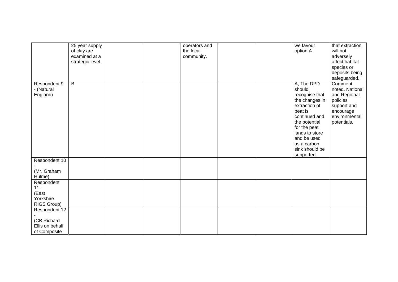|                                                                 | 25 year supply<br>of clay are<br>examined at a<br>strategic level. |  | operators and<br>the local<br>community. |  | we favour<br>option A.                                                                                                                                                                                                 | that extraction<br>will not<br>adversely<br>affect habitat<br>species or<br>deposits being                                         |
|-----------------------------------------------------------------|--------------------------------------------------------------------|--|------------------------------------------|--|------------------------------------------------------------------------------------------------------------------------------------------------------------------------------------------------------------------------|------------------------------------------------------------------------------------------------------------------------------------|
| Respondent 9<br>- (Natural<br>England)                          | $\mathsf{B}$                                                       |  |                                          |  | A, The DPD<br>should<br>recognise that<br>the changes in<br>extraction of<br>peat is<br>continued and<br>the potential<br>for the peat<br>lands to store<br>and be used<br>as a carbon<br>sink should be<br>supported. | safeguarded.<br>Comment<br>noted. National<br>and Regional<br>policies<br>support and<br>encourage<br>environmental<br>potentials. |
| Respondent 10<br>(Mr. Graham                                    |                                                                    |  |                                          |  |                                                                                                                                                                                                                        |                                                                                                                                    |
| Hulme)                                                          |                                                                    |  |                                          |  |                                                                                                                                                                                                                        |                                                                                                                                    |
| Respondent<br>$11 -$<br>(East<br>Yorkshire<br>RIGS Group)       |                                                                    |  |                                          |  |                                                                                                                                                                                                                        |                                                                                                                                    |
| Respondent 12<br>(CB Richard<br>Ellis on behalf<br>of Composite |                                                                    |  |                                          |  |                                                                                                                                                                                                                        |                                                                                                                                    |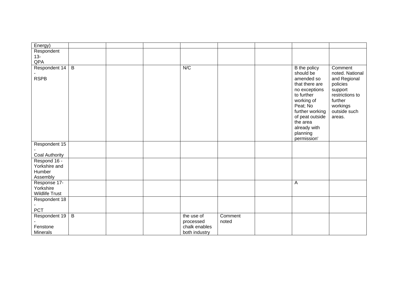| Energy)                                            |                |  |               |         |                                                                                                                                                                                    |                                                                                                         |
|----------------------------------------------------|----------------|--|---------------|---------|------------------------------------------------------------------------------------------------------------------------------------------------------------------------------------|---------------------------------------------------------------------------------------------------------|
| Respondent                                         |                |  |               |         |                                                                                                                                                                                    |                                                                                                         |
| $13 -$                                             |                |  |               |         |                                                                                                                                                                                    |                                                                                                         |
| QPA                                                |                |  |               |         |                                                                                                                                                                                    |                                                                                                         |
| Respondent 14                                      | $\overline{B}$ |  | N/C           |         | B the policy<br>should be                                                                                                                                                          | Comment<br>noted. National                                                                              |
| <b>RSPB</b>                                        |                |  |               |         | amended so<br>that there are<br>no exceptions<br>to further<br>working of<br>Peat; No<br>further working<br>of peat outside<br>the area<br>already with<br>planning<br>permission' | and Regional<br>policies<br>support<br>restrictions to<br>further<br>workings<br>outside such<br>areas. |
| Respondent 15                                      |                |  |               |         |                                                                                                                                                                                    |                                                                                                         |
| Coal Authority                                     |                |  |               |         |                                                                                                                                                                                    |                                                                                                         |
| Respond 16 -                                       |                |  |               |         |                                                                                                                                                                                    |                                                                                                         |
| Yorkshire and                                      |                |  |               |         |                                                                                                                                                                                    |                                                                                                         |
| Humber                                             |                |  |               |         |                                                                                                                                                                                    |                                                                                                         |
| Assembly                                           |                |  |               |         |                                                                                                                                                                                    |                                                                                                         |
| Response 17-<br>Yorkshire<br><b>Wildlife Trust</b> |                |  |               |         | Α                                                                                                                                                                                  |                                                                                                         |
| Respondent 18                                      |                |  |               |         |                                                                                                                                                                                    |                                                                                                         |
|                                                    |                |  |               |         |                                                                                                                                                                                    |                                                                                                         |
| PCT                                                |                |  |               |         |                                                                                                                                                                                    |                                                                                                         |
| Respondent 19                                      | $\overline{B}$ |  | the use of    | Comment |                                                                                                                                                                                    |                                                                                                         |
|                                                    |                |  | processed     | noted   |                                                                                                                                                                                    |                                                                                                         |
| Fenstone                                           |                |  | chalk enables |         |                                                                                                                                                                                    |                                                                                                         |
| <b>Minerals</b>                                    |                |  | both industry |         |                                                                                                                                                                                    |                                                                                                         |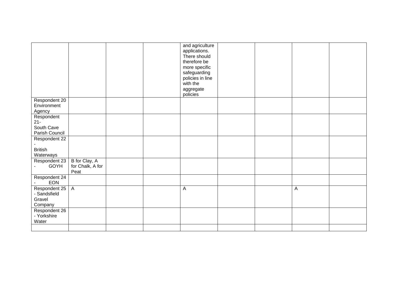|                                                    |                                           |  | and agriculture<br>applications.<br>There should<br>therefore be<br>more specific<br>safeguarding<br>policies in line<br>with the<br>aggregate<br>policies |  |              |  |
|----------------------------------------------------|-------------------------------------------|--|------------------------------------------------------------------------------------------------------------------------------------------------------------|--|--------------|--|
| Respondent 20                                      |                                           |  |                                                                                                                                                            |  |              |  |
| Environment<br>Agency                              |                                           |  |                                                                                                                                                            |  |              |  |
| Respondent                                         |                                           |  |                                                                                                                                                            |  |              |  |
| $21 -$                                             |                                           |  |                                                                                                                                                            |  |              |  |
| South Cave<br>Parish Council                       |                                           |  |                                                                                                                                                            |  |              |  |
| Respondent 22                                      |                                           |  |                                                                                                                                                            |  |              |  |
|                                                    |                                           |  |                                                                                                                                                            |  |              |  |
| <b>British</b><br>Waterways                        |                                           |  |                                                                                                                                                            |  |              |  |
| Respondent 23<br>GOYH                              | B for Clay, A<br>for Chalk, A for<br>Peat |  |                                                                                                                                                            |  |              |  |
| Respondent 24<br>EON                               |                                           |  |                                                                                                                                                            |  |              |  |
| Respondent 25<br>- Sandsfield<br>Gravel<br>Company | $\overline{A}$                            |  | А                                                                                                                                                          |  | $\mathsf{A}$ |  |
| Respondent 26<br>- Yorkshire<br>Water              |                                           |  |                                                                                                                                                            |  |              |  |
|                                                    |                                           |  |                                                                                                                                                            |  |              |  |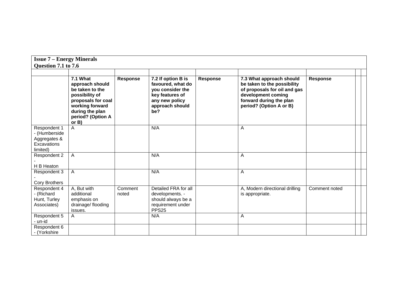| <b>Issue 7 – Energy Minerals</b>                                         |                                                                                                                                                               |                  |                                                                                                                            |                 |                                                                                                                                                                     |                 |  |
|--------------------------------------------------------------------------|---------------------------------------------------------------------------------------------------------------------------------------------------------------|------------------|----------------------------------------------------------------------------------------------------------------------------|-----------------|---------------------------------------------------------------------------------------------------------------------------------------------------------------------|-----------------|--|
| Question 7.1 to 7.6                                                      |                                                                                                                                                               |                  |                                                                                                                            |                 |                                                                                                                                                                     |                 |  |
|                                                                          | 7.1 What<br>approach should<br>be taken to the<br>possibility of<br>proposals for coal<br>working forward<br>during the plan<br>period? (Option A<br>or $B$ ) | Response         | 7.2 If option B is<br>favoured, what do<br>you consider the<br>key features of<br>any new policy<br>approach should<br>be? | <b>Response</b> | 7.3 What approach should<br>be taken to the possibility<br>of proposals for oil and gas<br>development coming<br>forward during the plan<br>period? (Option A or B) | <b>Response</b> |  |
| Respondent 1<br>- (Humberside<br>Aggregates &<br>Excavations<br>limited) | A                                                                                                                                                             |                  | N/A                                                                                                                        |                 | A                                                                                                                                                                   |                 |  |
| Respondent 2<br>H B Heaton                                               | $\mathsf{A}$                                                                                                                                                  |                  | N/A                                                                                                                        |                 | A                                                                                                                                                                   |                 |  |
| Respondent 3<br><b>Cory Brothers</b>                                     | $\mathsf{A}$                                                                                                                                                  |                  | N/A                                                                                                                        |                 | A                                                                                                                                                                   |                 |  |
| Respondent 4<br>- (Richard<br>Hunt, Turley<br>Associates)                | A, But with<br>additional<br>emphasis on<br>drainage/ flooding<br>issues.                                                                                     | Comment<br>noted | Detailed FRA for all<br>developments. -<br>should always be a<br>requirement under<br>PPS <sub>25</sub>                    |                 | A, Modern directional drilling<br>is appropriate.                                                                                                                   | Comment noted   |  |
| Respondent 5<br>- un-id                                                  | A                                                                                                                                                             |                  | N/A                                                                                                                        |                 | A                                                                                                                                                                   |                 |  |
| Respondent 6<br>- (Yorkshire                                             |                                                                                                                                                               |                  |                                                                                                                            |                 |                                                                                                                                                                     |                 |  |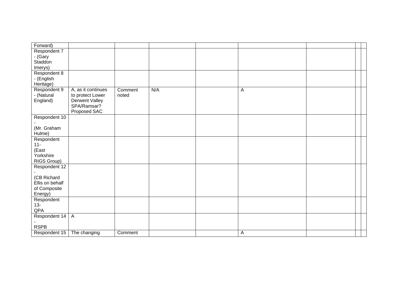| Forward)        |                    |         |     |              |  |
|-----------------|--------------------|---------|-----|--------------|--|
| Respondent 7    |                    |         |     |              |  |
| - (Gary         |                    |         |     |              |  |
| Staddon         |                    |         |     |              |  |
| Imerys)         |                    |         |     |              |  |
| Respondent 8    |                    |         |     |              |  |
| - (English      |                    |         |     |              |  |
| Heritage)       |                    |         |     |              |  |
| Respondent 9    | A, as it continues | Comment | N/A | $\mathsf{A}$ |  |
| - (Natural      | to protect Lower   | noted   |     |              |  |
| England)        | Derwent Valley     |         |     |              |  |
|                 | SPA/Ramsar?        |         |     |              |  |
|                 | Proposed SAC       |         |     |              |  |
| Respondent 10   |                    |         |     |              |  |
|                 |                    |         |     |              |  |
| (Mr. Graham     |                    |         |     |              |  |
| Hulme)          |                    |         |     |              |  |
| Respondent      |                    |         |     |              |  |
| $11 -$          |                    |         |     |              |  |
| (East           |                    |         |     |              |  |
| Yorkshire       |                    |         |     |              |  |
| RIGS Group)     |                    |         |     |              |  |
| Respondent 12   |                    |         |     |              |  |
|                 |                    |         |     |              |  |
| (CB Richard     |                    |         |     |              |  |
| Ellis on behalf |                    |         |     |              |  |
| of Composite    |                    |         |     |              |  |
| Energy)         |                    |         |     |              |  |
| Respondent      |                    |         |     |              |  |
| $13 -$<br>QPA   |                    |         |     |              |  |
|                 | $\overline{A}$     |         |     |              |  |
| Respondent 14   |                    |         |     |              |  |
| <b>RSPB</b>     |                    |         |     |              |  |
| Respondent 15   | The changing       | Comment |     | Α            |  |
|                 |                    |         |     |              |  |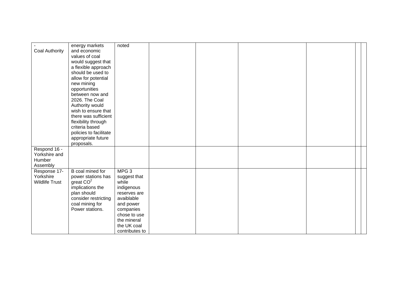| Coal Authority                                      | energy markets<br>and economic<br>values of coal<br>would suggest that                                                                                                | noted                                                                                                                                                                           |  |  |  |
|-----------------------------------------------------|-----------------------------------------------------------------------------------------------------------------------------------------------------------------------|---------------------------------------------------------------------------------------------------------------------------------------------------------------------------------|--|--|--|
|                                                     | a flexible approach<br>should be used to<br>allow for potential<br>new mining<br>opportunities<br>between now and<br>2026. The Coal                                   |                                                                                                                                                                                 |  |  |  |
|                                                     | Authority would<br>wish to ensure that<br>there was sufficient<br>flexibility through<br>criteria based<br>policies to facilitate<br>appropriate future<br>proposals. |                                                                                                                                                                                 |  |  |  |
| Respond 16 -<br>Yorkshire and<br>Humber<br>Assembly |                                                                                                                                                                       |                                                                                                                                                                                 |  |  |  |
| Response 17-<br>Yorkshire<br><b>Wildlife Trust</b>  | B coal mined for<br>power stations has<br>great $CO2$<br>implications the<br>plan should<br>consider restricting<br>coal mining for<br>Power stations.                | MPG <sub>3</sub><br>suggest that<br>while<br>indigenous<br>reserves are<br>avaiblable<br>and power<br>companies<br>chose to use<br>the mineral<br>the UK coal<br>contributes to |  |  |  |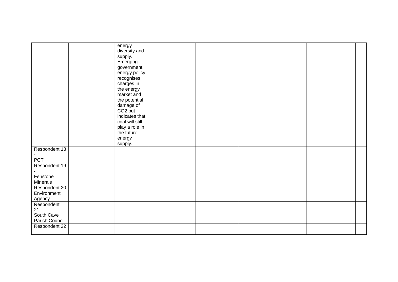|                                                      | energy<br>diversity and<br>supply.<br>Emerging<br>government<br>energy policy<br>recognises<br>charges in<br>the energy<br>market and<br>the potential<br>damage of<br>CO <sub>2</sub> but<br>indicates that<br>coal will still<br>play a role in<br>the future<br>energy<br>supply. |  |  |  |
|------------------------------------------------------|--------------------------------------------------------------------------------------------------------------------------------------------------------------------------------------------------------------------------------------------------------------------------------------|--|--|--|
| Respondent 18<br><b>PCT</b>                          |                                                                                                                                                                                                                                                                                      |  |  |  |
| Respondent 19<br>Fenstone<br>Minerals                |                                                                                                                                                                                                                                                                                      |  |  |  |
| Respondent 20<br>Environment<br>Agency               |                                                                                                                                                                                                                                                                                      |  |  |  |
| Respondent<br>$21 -$<br>South Cave<br>Parish Council |                                                                                                                                                                                                                                                                                      |  |  |  |
| Respondent 22                                        |                                                                                                                                                                                                                                                                                      |  |  |  |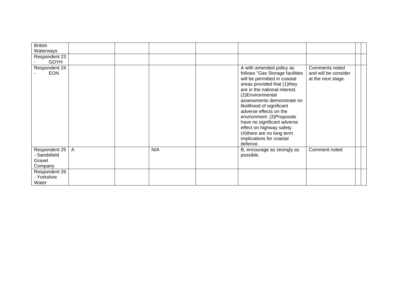| <b>British</b><br>Waterways                        |                |     |                                                                                                                                                                                                                                                                                                                                                                                                                                       |                                                              |  |
|----------------------------------------------------|----------------|-----|---------------------------------------------------------------------------------------------------------------------------------------------------------------------------------------------------------------------------------------------------------------------------------------------------------------------------------------------------------------------------------------------------------------------------------------|--------------------------------------------------------------|--|
| Respondent 23<br><b>GOYH</b>                       |                |     |                                                                                                                                                                                                                                                                                                                                                                                                                                       |                                                              |  |
| Respondent 24<br><b>EON</b>                        |                |     | A with amended policy as<br>follows "Gas Storage facilities<br>will be permitted in coastal<br>areas provided that (1)they<br>are in the national interest.<br>(2) Environmental<br>assessments demonstrate no<br>likelihood of significant<br>adverse effects on the<br>environment. (3) Proposals<br>have no significant adverse<br>effect on highway safety.<br>(4) there are no long term<br>implications for coastal<br>defence. | Comments noted<br>and will be consider<br>at the next stage. |  |
| Respondent 25<br>- Sandsfield<br>Gravel<br>Company | $\overline{A}$ | N/A | B, encourage as strongly as<br>possible.                                                                                                                                                                                                                                                                                                                                                                                              | Comment noted                                                |  |
| Respondent 26<br>- Yorkshire<br>Water              |                |     |                                                                                                                                                                                                                                                                                                                                                                                                                                       |                                                              |  |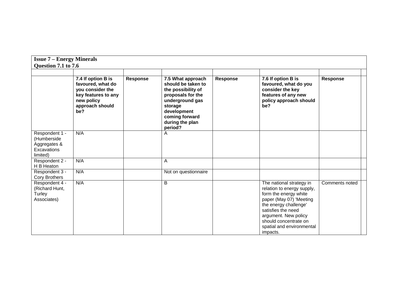| <b>Issue 7 – Energy Minerals</b>                                         |                                                                                                                            |          |                                                                                                                                                                                 |                 |                                                                                                                                                                                                                                                     |                |  |
|--------------------------------------------------------------------------|----------------------------------------------------------------------------------------------------------------------------|----------|---------------------------------------------------------------------------------------------------------------------------------------------------------------------------------|-----------------|-----------------------------------------------------------------------------------------------------------------------------------------------------------------------------------------------------------------------------------------------------|----------------|--|
| Question 7.1 to 7.6                                                      |                                                                                                                            |          |                                                                                                                                                                                 |                 |                                                                                                                                                                                                                                                     |                |  |
|                                                                          | 7.4 If option B is<br>favoured, what do<br>you consider the<br>key features to any<br>new policy<br>approach should<br>be? | Response | 7.5 What approach<br>should be taken to<br>the possibility of<br>proposals for the<br>underground gas<br>storage<br>development<br>coming forward<br>during the plan<br>period? | <b>Response</b> | 7.6 If option B is<br>favoured, what do you<br>consider the key<br>features of any new<br>policy approach should<br>be?                                                                                                                             | Response       |  |
| Respondent 1 -<br>(Humberside<br>Aggregates &<br>Excavations<br>limited) | N/A                                                                                                                        |          | A                                                                                                                                                                               |                 |                                                                                                                                                                                                                                                     |                |  |
| Respondent 2 -<br>H B Heaton                                             | N/A                                                                                                                        |          | Α                                                                                                                                                                               |                 |                                                                                                                                                                                                                                                     |                |  |
| Respondent 3 -<br><b>Cory Brothers</b>                                   | N/A                                                                                                                        |          | Not on questionnaire                                                                                                                                                            |                 |                                                                                                                                                                                                                                                     |                |  |
| Respondent 4 -<br>(Richard Hunt,<br>Turley<br>Associates)                | N/A                                                                                                                        |          | B                                                                                                                                                                               |                 | The national strategy in<br>relation to energy supply,<br>form the energy white<br>paper (May 07) 'Meeting<br>the energy challenge'<br>satisfies the need<br>argument. New policy<br>should concentrate on<br>spatial and environmental<br>impacts. | Comments noted |  |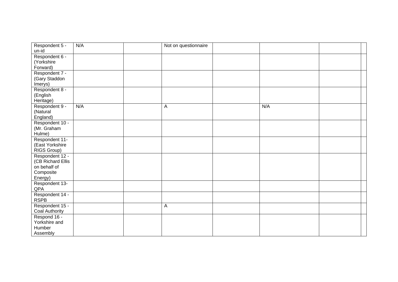| Respondent 5 -<br>un-id              | N/A | Not on questionnaire |     |  |
|--------------------------------------|-----|----------------------|-----|--|
| Respondent 6 -                       |     |                      |     |  |
| (Yorkshire                           |     |                      |     |  |
| Forward)                             |     |                      |     |  |
| Respondent 7 -                       |     |                      |     |  |
| (Gary Staddon                        |     |                      |     |  |
| Imerys)                              |     |                      |     |  |
| Respondent 8 -                       |     |                      |     |  |
| (English                             |     |                      |     |  |
| Heritage)                            |     |                      |     |  |
| Respondent 9 -                       | N/A | A                    | N/A |  |
| (Natural                             |     |                      |     |  |
| England)                             |     |                      |     |  |
| Respondent 10 -                      |     |                      |     |  |
| (Mr. Graham                          |     |                      |     |  |
| Hulme)                               |     |                      |     |  |
| Respondent 11-                       |     |                      |     |  |
| (East Yorkshire                      |     |                      |     |  |
| RIGS Group)                          |     |                      |     |  |
| Respondent 12 -<br>(CB Richard Ellis |     |                      |     |  |
| on behalf of                         |     |                      |     |  |
| Composite                            |     |                      |     |  |
| Energy)                              |     |                      |     |  |
| Respondent 13-                       |     |                      |     |  |
| QPA                                  |     |                      |     |  |
| Respondent 14 -                      |     |                      |     |  |
| <b>RSPB</b>                          |     |                      |     |  |
| Respondent 15 -                      |     | $\mathsf{A}$         |     |  |
| Coal Authority                       |     |                      |     |  |
| Respond 16 -                         |     |                      |     |  |
| Yorkshire and                        |     |                      |     |  |
| Humber                               |     |                      |     |  |
| Assembly                             |     |                      |     |  |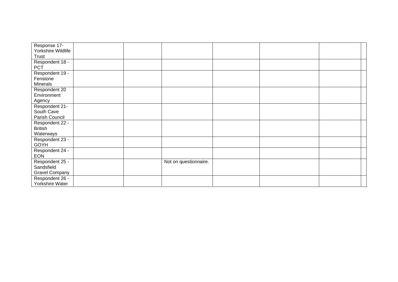| Response 17-       |  |                       |  |  |
|--------------------|--|-----------------------|--|--|
| Yorkshire Wildlife |  |                       |  |  |
| Trust              |  |                       |  |  |
| Respondent 18 -    |  |                       |  |  |
| <b>PCT</b>         |  |                       |  |  |
| Respondent 19 -    |  |                       |  |  |
| Fenstone           |  |                       |  |  |
| Minerals           |  |                       |  |  |
| Respondent 20      |  |                       |  |  |
| Environment        |  |                       |  |  |
| Agency             |  |                       |  |  |
| Respondent 21-     |  |                       |  |  |
| South Cave         |  |                       |  |  |
| Parish Council     |  |                       |  |  |
| Respondent 22 -    |  |                       |  |  |
| <b>British</b>     |  |                       |  |  |
| Waterways          |  |                       |  |  |
| Respondent 23 -    |  |                       |  |  |
| <b>GOYH</b>        |  |                       |  |  |
| Respondent 24 -    |  |                       |  |  |
| <b>EON</b>         |  |                       |  |  |
| Respondent 25 -    |  | Not on questionnaire. |  |  |
| Sandsfield         |  |                       |  |  |
| Gravel Company     |  |                       |  |  |
| Respondent 26 -    |  |                       |  |  |
| Yorkshire Water    |  |                       |  |  |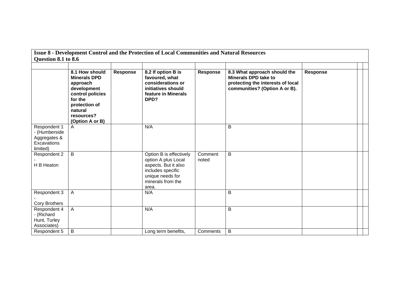| Question 8.1 to 8.6                                                      |                                                                                                                                                              |                 | Issue 8 - Development Control and the Protection of Local Communities and Natural Resources                                                   |                  |                                                                                                                                   |                 |  |
|--------------------------------------------------------------------------|--------------------------------------------------------------------------------------------------------------------------------------------------------------|-----------------|-----------------------------------------------------------------------------------------------------------------------------------------------|------------------|-----------------------------------------------------------------------------------------------------------------------------------|-----------------|--|
|                                                                          | 8.1 How should<br><b>Minerals DPD</b><br>approach<br>development<br>control policies<br>for the<br>protection of<br>natural<br>resources?<br>(Option A or B) | <b>Response</b> | 8.2 If option B is<br>favoured, what<br>considerations or<br>initiatives should<br>feature in Minerals<br>DPD?                                | Response         | 8.3 What approach should the<br><b>Minerals DPD take to</b><br>protecting the interests of local<br>communities? (Option A or B). | <b>Response</b> |  |
| Respondent 1<br>- (Humberside<br>Aggregates &<br>Excavations<br>limited) | A                                                                                                                                                            |                 | N/A                                                                                                                                           |                  | B                                                                                                                                 |                 |  |
| Respondent 2<br>H B Heaton                                               | B                                                                                                                                                            |                 | Option B is effectively<br>option A plus Local<br>aspects. But it also<br>includes specific<br>unique needs for<br>minerals from the<br>area. | Comment<br>noted | B                                                                                                                                 |                 |  |
| Respondent 3<br><b>Cory Brothers</b>                                     | A                                                                                                                                                            |                 | N/A                                                                                                                                           |                  | B                                                                                                                                 |                 |  |
| Respondent 4<br>- (Richard<br>Hunt, Turley<br>Associates)                | A                                                                                                                                                            |                 | N/A                                                                                                                                           |                  | B                                                                                                                                 |                 |  |
| Respondent 5                                                             | B                                                                                                                                                            |                 | Long term benefits,                                                                                                                           | Comments         | B                                                                                                                                 |                 |  |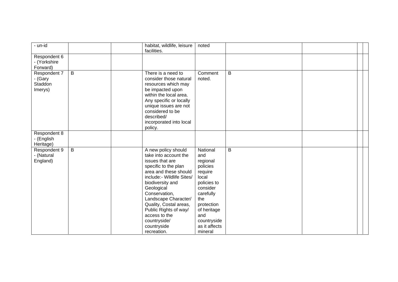| - un-id                                       |                | habitat, wildlife, leisure<br>facilities.                                                                                                                                                                                                                                                                                                  | noted                                                                                                                                                                                     |   |  |
|-----------------------------------------------|----------------|--------------------------------------------------------------------------------------------------------------------------------------------------------------------------------------------------------------------------------------------------------------------------------------------------------------------------------------------|-------------------------------------------------------------------------------------------------------------------------------------------------------------------------------------------|---|--|
| Respondent 6<br>- (Yorkshire<br>Forward)      |                |                                                                                                                                                                                                                                                                                                                                            |                                                                                                                                                                                           |   |  |
| Respondent 7<br>- (Gary<br>Staddon<br>Imerys) | $\sf B$        | There is a need to<br>consider those natural<br>resources which may<br>be impacted upon<br>within the local area.<br>Any specific or locally<br>unique issues are not<br>considered to be<br>described/<br>incorporated into local<br>policy.                                                                                              | Comment<br>noted.                                                                                                                                                                         | B |  |
| Respondent 8<br>- (English<br>Heritage)       |                |                                                                                                                                                                                                                                                                                                                                            |                                                                                                                                                                                           |   |  |
| Respondent 9<br>- (Natural<br>England)        | $\overline{B}$ | A new policy should<br>take into account the<br>issues that are<br>specific to the plan<br>area and these should<br>include:- Wildlife Sites/<br>biodiversity and<br>Geological<br>Conservation,<br>Landscape Character/<br>Quality, Costal areas,<br>Public Rights of way/<br>access to the<br>countryside/<br>countryside<br>recreation. | National<br>and<br>regional<br>policies<br>require<br>local<br>policies to<br>consider<br>carefully<br>the<br>protection<br>of heritage<br>and<br>countryside<br>as it affects<br>mineral | B |  |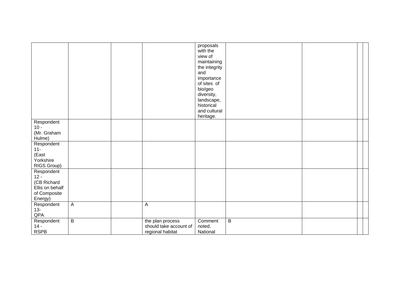|                                                                                   |                |                                                                | proposals<br>with the<br>view of<br>maintaining<br>the integrity<br>and<br>importance<br>of sites of<br>bio/geo<br>diversity,<br>landscape,<br>historical<br>and cultural |   |  |  |
|-----------------------------------------------------------------------------------|----------------|----------------------------------------------------------------|---------------------------------------------------------------------------------------------------------------------------------------------------------------------------|---|--|--|
|                                                                                   |                |                                                                | heritage.                                                                                                                                                                 |   |  |  |
| Respondent<br>$10 -$<br>(Mr. Graham<br>Hulme)                                     |                |                                                                |                                                                                                                                                                           |   |  |  |
| Respondent<br>$11 -$<br>(East<br>Yorkshire<br>RIGS Group)                         |                |                                                                |                                                                                                                                                                           |   |  |  |
| Respondent<br>$12 -$<br>(CB Richard<br>Ellis on behalf<br>of Composite<br>Energy) |                |                                                                |                                                                                                                                                                           |   |  |  |
| Respondent<br>$13 -$<br>QPA                                                       | $\overline{A}$ | $\boldsymbol{\mathsf{A}}$                                      |                                                                                                                                                                           |   |  |  |
| Respondent<br>$14 -$<br><b>RSPB</b>                                               | $\overline{B}$ | the plan process<br>should take account of<br>regional habitat | Comment<br>noted.<br>National                                                                                                                                             | B |  |  |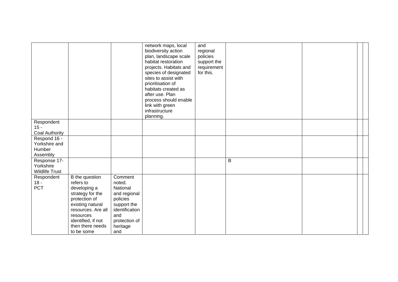|                               |                             |                   | network maps, local<br>biodiversity action<br>plan, landscape scale<br>habitat restoration<br>projects. Habitats and<br>species of designated<br>sites to assist with<br>prioritisation of<br>habitats created as<br>after use. Plan<br>process should enable<br>link with green<br>infrastructure<br>planning. | and<br>regional<br>policies<br>support the<br>requirement<br>for this. |   |  |  |
|-------------------------------|-----------------------------|-------------------|-----------------------------------------------------------------------------------------------------------------------------------------------------------------------------------------------------------------------------------------------------------------------------------------------------------------|------------------------------------------------------------------------|---|--|--|
| Respondent                    |                             |                   |                                                                                                                                                                                                                                                                                                                 |                                                                        |   |  |  |
| $15 -$                        |                             |                   |                                                                                                                                                                                                                                                                                                                 |                                                                        |   |  |  |
| Coal Authority                |                             |                   |                                                                                                                                                                                                                                                                                                                 |                                                                        |   |  |  |
| Respond 16 -<br>Yorkshire and |                             |                   |                                                                                                                                                                                                                                                                                                                 |                                                                        |   |  |  |
| Humber                        |                             |                   |                                                                                                                                                                                                                                                                                                                 |                                                                        |   |  |  |
| Assembly                      |                             |                   |                                                                                                                                                                                                                                                                                                                 |                                                                        |   |  |  |
| Response 17-                  |                             |                   |                                                                                                                                                                                                                                                                                                                 |                                                                        | B |  |  |
| Yorkshire                     |                             |                   |                                                                                                                                                                                                                                                                                                                 |                                                                        |   |  |  |
| <b>Wildlife Trust</b>         |                             |                   |                                                                                                                                                                                                                                                                                                                 |                                                                        |   |  |  |
| Respondent<br>$18 -$          | B the question<br>refers to | Comment<br>noted. |                                                                                                                                                                                                                                                                                                                 |                                                                        |   |  |  |
| PCT                           | developing a                | National          |                                                                                                                                                                                                                                                                                                                 |                                                                        |   |  |  |
|                               | strategy for the            | and regional      |                                                                                                                                                                                                                                                                                                                 |                                                                        |   |  |  |
|                               | protection of               | policies          |                                                                                                                                                                                                                                                                                                                 |                                                                        |   |  |  |
|                               | existing natural            | support the       |                                                                                                                                                                                                                                                                                                                 |                                                                        |   |  |  |
|                               | resources. Are all          | identification    |                                                                                                                                                                                                                                                                                                                 |                                                                        |   |  |  |
|                               | resources                   | and               |                                                                                                                                                                                                                                                                                                                 |                                                                        |   |  |  |
|                               | identified, if not          | protection of     |                                                                                                                                                                                                                                                                                                                 |                                                                        |   |  |  |
|                               | then there needs            | heritage          |                                                                                                                                                                                                                                                                                                                 |                                                                        |   |  |  |
|                               | to be some                  | and               |                                                                                                                                                                                                                                                                                                                 |                                                                        |   |  |  |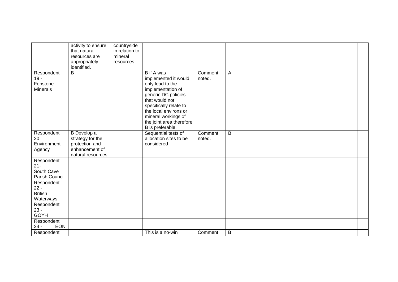|                                                      | activity to ensure<br>that natural<br>resources are<br>appropriately<br>identified.      | countryside<br>in relation to<br>mineral<br>resources. |                                                                                                                                                                                                                                                       |                   |                |  |  |
|------------------------------------------------------|------------------------------------------------------------------------------------------|--------------------------------------------------------|-------------------------------------------------------------------------------------------------------------------------------------------------------------------------------------------------------------------------------------------------------|-------------------|----------------|--|--|
| Respondent<br>$19 -$<br>Fenstone<br><b>Minerals</b>  | $\overline{B}$                                                                           |                                                        | <b>B</b> if A was<br>implemented it would<br>only lead to the<br>implementation of<br>generic DC policies<br>that would not<br>specifically relate to<br>the local environs or<br>mineral workings of<br>the joint area therefore<br>B is preferable. | Comment<br>noted. | A              |  |  |
| Respondent<br>20<br>Environment<br>Agency            | B Develop a<br>strategy for the<br>protection and<br>enhancement of<br>natural resources |                                                        | Sequential tests of<br>allocation sites to be<br>considered                                                                                                                                                                                           | Comment<br>noted. | $\overline{B}$ |  |  |
| Respondent<br>$21 -$<br>South Cave<br>Parish Council |                                                                                          |                                                        |                                                                                                                                                                                                                                                       |                   |                |  |  |
| Respondent<br>$22 -$<br><b>British</b><br>Waterways  |                                                                                          |                                                        |                                                                                                                                                                                                                                                       |                   |                |  |  |
| Respondent<br>$23 -$<br><b>GOYH</b>                  |                                                                                          |                                                        |                                                                                                                                                                                                                                                       |                   |                |  |  |
| Respondent<br><b>EON</b><br>$24 -$                   |                                                                                          |                                                        |                                                                                                                                                                                                                                                       |                   |                |  |  |
| Respondent                                           |                                                                                          |                                                        | This is a no-win                                                                                                                                                                                                                                      | Comment           | $\sf B$        |  |  |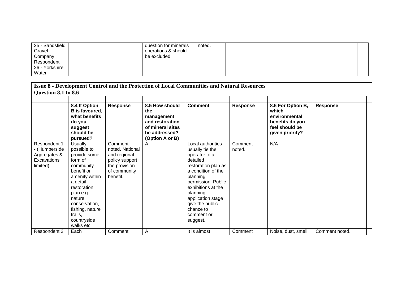| 25 - Sandsfield<br>Gravel<br>Company |  | question for minerals<br>operations & should<br>be excluded | noted. |  |  |
|--------------------------------------|--|-------------------------------------------------------------|--------|--|--|
| Respondent                           |  |                                                             |        |  |  |
| 26 - Yorkshire                       |  |                                                             |        |  |  |
| Water                                |  |                                                             |        |  |  |

| Question 8.1 to 8.6                                                      |                                                                                                                                                                                                                              |                                                                                                           |                                                                                                                | <b>Issue 8 - Development Control and the Protection of Local Communities and Natural Resources</b>                                                                                                                                                                |                   |                                                                                                     |                 |  |
|--------------------------------------------------------------------------|------------------------------------------------------------------------------------------------------------------------------------------------------------------------------------------------------------------------------|-----------------------------------------------------------------------------------------------------------|----------------------------------------------------------------------------------------------------------------|-------------------------------------------------------------------------------------------------------------------------------------------------------------------------------------------------------------------------------------------------------------------|-------------------|-----------------------------------------------------------------------------------------------------|-----------------|--|
|                                                                          | 8.4 If Option<br><b>B</b> is favoured,<br>what benefits<br>do you<br>suggest<br>should be<br>pursued?                                                                                                                        | <b>Response</b>                                                                                           | 8.5 How should<br>the<br>management<br>and restoration<br>of mineral sites<br>be addressed?<br>(Option A or B) | <b>Comment</b>                                                                                                                                                                                                                                                    | <b>Response</b>   | 8.6 For Option B,<br>which<br>environmental<br>benefits do you<br>feel should be<br>given priority? | <b>Response</b> |  |
| Respondent 1<br>- (Humberside<br>Aggregates &<br>Excavations<br>limited) | Usually<br>possible to<br>provide some<br>form of<br>community<br>benefit or<br>amenity within<br>a detail<br>restoration<br>plan e.g.<br>nature<br>conservation,<br>fishing, nature<br>trails,<br>countryside<br>walks etc. | Comment<br>noted. National<br>and regional<br>policy support<br>the provision<br>of community<br>benefit. | A                                                                                                              | Local authorities<br>usually tie the<br>operator to a<br>detailed<br>restoration plan as<br>a condition of the<br>planning<br>permission. Public<br>exhibitions at the<br>planning<br>application stage<br>give the public<br>chance to<br>comment or<br>suggest. | Comment<br>noted. | N/A                                                                                                 |                 |  |
| Respondent 2                                                             | Each                                                                                                                                                                                                                         | Comment                                                                                                   | Α                                                                                                              | It is almost                                                                                                                                                                                                                                                      | Comment           | Noise, dust, smell,                                                                                 | Comment noted.  |  |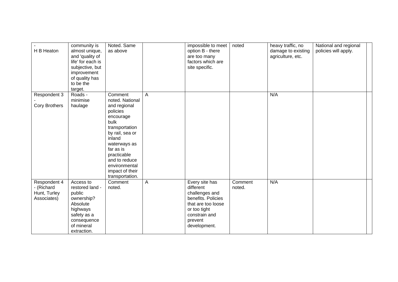| H B Heaton                                                | community is<br>almost unique,<br>and 'quality of<br>life' for each is<br>subjective, but<br>improvement<br>of quality has<br>to be the<br>target. | Noted. Same<br>as above                                                                                                                                                                                                                               |   | impossible to meet<br>option B - there<br>are too many<br>factors which are<br>site specific.                                                         | noted             | heavy traffic, no<br>damage to existing<br>agriculture, etc. | National and regional<br>policies will apply. |  |
|-----------------------------------------------------------|----------------------------------------------------------------------------------------------------------------------------------------------------|-------------------------------------------------------------------------------------------------------------------------------------------------------------------------------------------------------------------------------------------------------|---|-------------------------------------------------------------------------------------------------------------------------------------------------------|-------------------|--------------------------------------------------------------|-----------------------------------------------|--|
| Respondent 3<br><b>Cory Brothers</b>                      | Roads -<br>minimise<br>haulage                                                                                                                     | Comment<br>noted. National<br>and regional<br>policies<br>encourage<br><b>bulk</b><br>transportation<br>by rail, sea or<br>inland<br>waterways as<br>far as is<br>practicable<br>and to reduce<br>environmental<br>impact of their<br>transportation. | A |                                                                                                                                                       |                   | N/A                                                          |                                               |  |
| Respondent 4<br>- (Richard<br>Hunt, Turley<br>Associates) | Access to<br>restored land -<br>public<br>ownership?<br>Absolute<br>highways<br>safety as a<br>consequence<br>of mineral<br>extraction.            | Comment<br>noted.                                                                                                                                                                                                                                     | A | Every site has<br>different<br>challenges and<br>benefits. Policies<br>that are too loose<br>or too tight<br>constrain and<br>prevent<br>development. | Comment<br>noted. | N/A                                                          |                                               |  |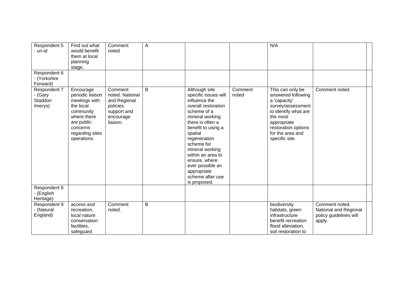| Respondent 5<br>- un-id                       | Find out what<br>would benefit<br>them at local<br>planning<br>stage.                                                                               | Comment<br>noted                                                                               | Α |                                                                                                                                                                                                                                                                                                                                    |                  | N/A                                                                                                                                                                                         |                                                                             |  |
|-----------------------------------------------|-----------------------------------------------------------------------------------------------------------------------------------------------------|------------------------------------------------------------------------------------------------|---|------------------------------------------------------------------------------------------------------------------------------------------------------------------------------------------------------------------------------------------------------------------------------------------------------------------------------------|------------------|---------------------------------------------------------------------------------------------------------------------------------------------------------------------------------------------|-----------------------------------------------------------------------------|--|
| Respondent 6<br>- (Yorkshire<br>Forward)      |                                                                                                                                                     |                                                                                                |   |                                                                                                                                                                                                                                                                                                                                    |                  |                                                                                                                                                                                             |                                                                             |  |
| Respondent 7<br>- (Gary<br>Staddon<br>Imerys) | Encourage<br>periodic liaison<br>meetings with<br>the local<br>community<br>where there<br>are public<br>concerns<br>regarding sites<br>operations. | Comment<br>noted. National<br>and Regional<br>policies<br>support and<br>encourage<br>liaison. | B | Although site<br>specific issues will<br>influence the<br>overall restoration<br>scheme of a<br>mineral working<br>there is often a<br>benefit to using a<br>spatial<br>regeneration<br>scheme for<br>mineral working<br>within an area to<br>ensure, where<br>ever possible an<br>appropriate<br>scheme after use<br>is proposed. | Comment<br>noted | This can only be<br>answered following<br>a 'capacity'<br>survey/assessment<br>to identify what are<br>the most<br>appropriate<br>restoration options<br>for the area and<br>specific site. | Comment noted.                                                              |  |
| Respondent 8<br>- (English<br>Heritage)       |                                                                                                                                                     |                                                                                                |   |                                                                                                                                                                                                                                                                                                                                    |                  |                                                                                                                                                                                             |                                                                             |  |
| Respondent 9<br>- (Natural<br>England)        | access and<br>recreation,<br>local nature<br>conservation<br>facilities,<br>safeguard                                                               | Comment<br>noted.                                                                              | B |                                                                                                                                                                                                                                                                                                                                    |                  | biodiversity<br>habitats, green<br>infrastructure<br>benefit recreation<br>flood alleviation,<br>soil restoration to                                                                        | Comment noted.<br>National and Regional<br>policy guidelines will<br>apply. |  |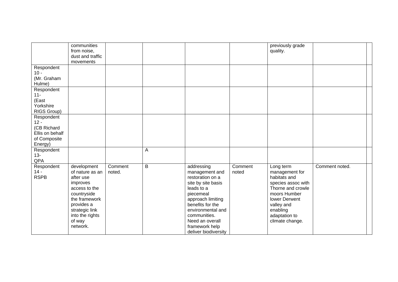|                                                                                   | communities<br>from noise,<br>dust and traffic<br>movements                                                                                                                       |                   |   |                                                                                                                                                                                                                                              |                  | previously grade<br>quality.                                                                                                                                                          |                |  |
|-----------------------------------------------------------------------------------|-----------------------------------------------------------------------------------------------------------------------------------------------------------------------------------|-------------------|---|----------------------------------------------------------------------------------------------------------------------------------------------------------------------------------------------------------------------------------------------|------------------|---------------------------------------------------------------------------------------------------------------------------------------------------------------------------------------|----------------|--|
| Respondent<br>$10 -$<br>(Mr. Graham<br>Hulme)                                     |                                                                                                                                                                                   |                   |   |                                                                                                                                                                                                                                              |                  |                                                                                                                                                                                       |                |  |
| Respondent<br>$11 -$<br>(East<br>Yorkshire<br>RIGS Group)                         |                                                                                                                                                                                   |                   |   |                                                                                                                                                                                                                                              |                  |                                                                                                                                                                                       |                |  |
| Respondent<br>$12 -$<br>(CB Richard<br>Ellis on behalf<br>of Composite<br>Energy) |                                                                                                                                                                                   |                   |   |                                                                                                                                                                                                                                              |                  |                                                                                                                                                                                       |                |  |
| Respondent<br>$13 -$<br>QPA                                                       |                                                                                                                                                                                   |                   | Α |                                                                                                                                                                                                                                              |                  |                                                                                                                                                                                       |                |  |
| Respondent<br>$14 -$<br><b>RSPB</b>                                               | development<br>of nature as an<br>after use<br>improves<br>access to the<br>countryside<br>the framework<br>provides a<br>strategic link<br>into the rights<br>of way<br>network. | Comment<br>noted. | B | addressing<br>management and<br>restoration on a<br>site by site basis<br>leads to a<br>piecemeal<br>approach limiting<br>benefits for the<br>environmental and<br>communities.<br>Need an overall<br>framework help<br>deliver biodiversity | Comment<br>noted | Long term<br>management for<br>habitats and<br>species assoc with<br>Thorne and crowle<br>moors Humber<br>lower Derwent<br>valley and<br>enabling<br>adaptation to<br>climate change. | Comment noted. |  |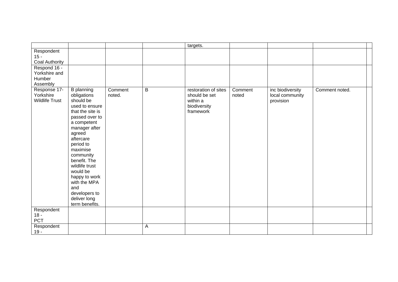|                                                     |                                                                                                                                                                                                                                                                                                                                             |                   |                | targets.                                                                       |                  |                                                  |                |
|-----------------------------------------------------|---------------------------------------------------------------------------------------------------------------------------------------------------------------------------------------------------------------------------------------------------------------------------------------------------------------------------------------------|-------------------|----------------|--------------------------------------------------------------------------------|------------------|--------------------------------------------------|----------------|
| Respondent<br>$15 -$<br>Coal Authority              |                                                                                                                                                                                                                                                                                                                                             |                   |                |                                                                                |                  |                                                  |                |
| Respond 16 -<br>Yorkshire and<br>Humber<br>Assembly |                                                                                                                                                                                                                                                                                                                                             |                   |                |                                                                                |                  |                                                  |                |
| Response 17-<br>Yorkshire<br><b>Wildlife Trust</b>  | <b>B</b> planning<br>obligations<br>should be<br>used to ensure<br>that the site is<br>passed over to<br>a competent<br>manager after<br>agreed<br>aftercare<br>period to<br>maximise<br>community<br>benefit. The<br>wildlife trust<br>would be<br>happy to work<br>with the MPA<br>and<br>developers to<br>deliver long<br>term benefits. | Comment<br>noted. | $\overline{B}$ | restoration of sites<br>should be set<br>within a<br>biodiversity<br>framework | Comment<br>noted | inc biodiversity<br>local community<br>provision | Comment noted. |
| Respondent<br>$18 -$<br>PCT                         |                                                                                                                                                                                                                                                                                                                                             |                   |                |                                                                                |                  |                                                  |                |
| Respondent<br>$19 -$                                |                                                                                                                                                                                                                                                                                                                                             |                   | $\mathsf{A}$   |                                                                                |                  |                                                  |                |